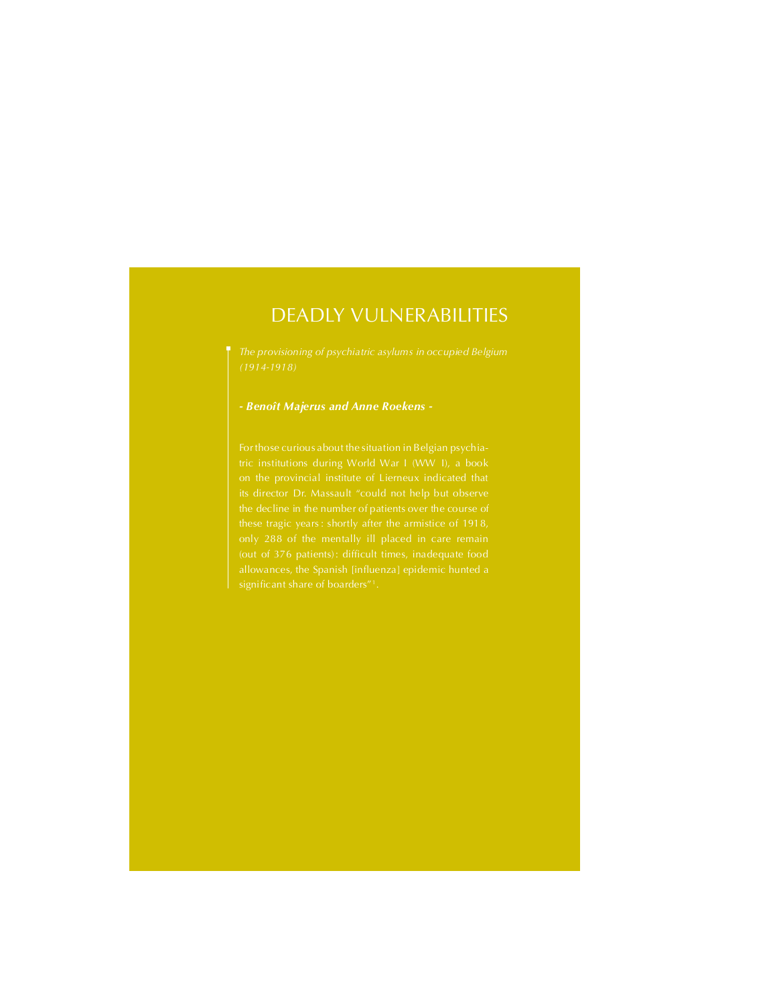# DEADLY VULNERABILITIES

(1914-1918)

## - Benoît Majerus and Anne Roekens -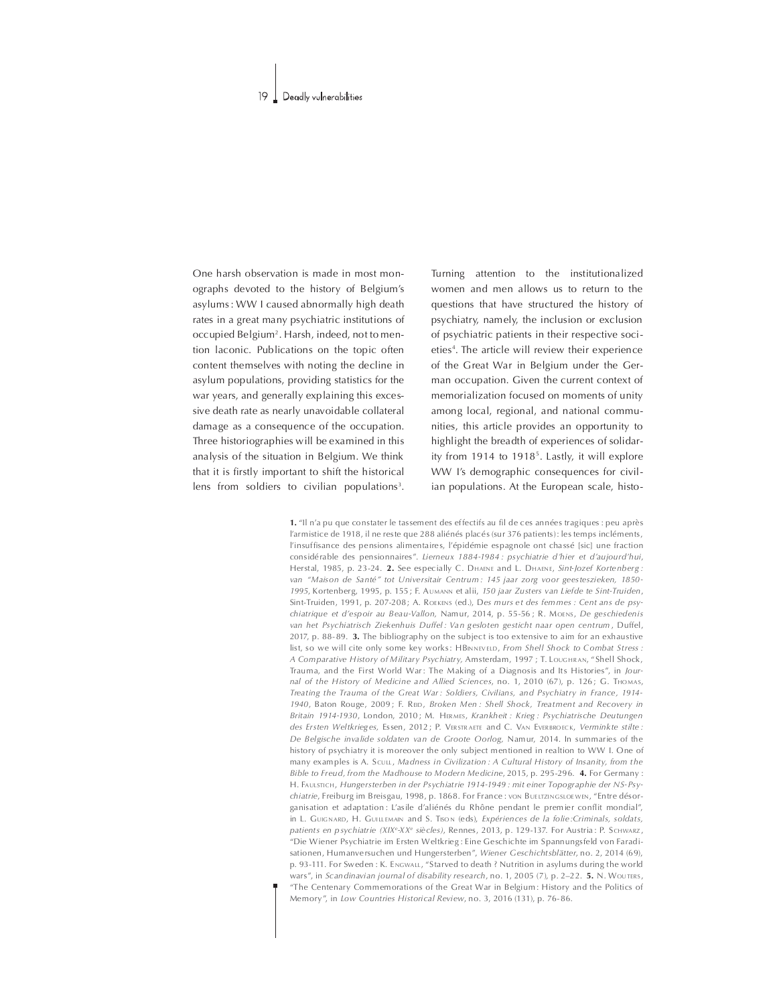One harsh observation is made in most monographs devoted to the history of Belgium's asylums: WW I caused abnormally high death rates in a great many psychiatric institutions of occupied Belgium<sup>2</sup>. Harsh, indeed, not to mention laconic. Publications on the topic often content themselves with noting the decline in asylum populations, providing statistics for the war years, and generally explaining this excessive death rate as nearly unavoidable collateral damage as a consequence of the occupation. Three historiographies will be examined in this analysis of the situation in Belgium. We think that it is firstly important to shift the historical lens from soldiers to civilian populations<sup>3</sup>.

Turning attention to the institutionalized women and men allows us to return to the questions that have structured the history of psychiatry, namely, the inclusion or exclusion of psychiatric patients in their respective societies<sup>4</sup>. The article will review their experience of the Great War in Belgium under the German occupation. Given the current context of memorialization focused on moments of unity among local, regional, and national communities, this article provides an opportunity to highlight the breadth of experiences of solidarity from 1914 to 1918<sup>5</sup>. Lastly, it will explore WW I's demographic consequences for civilian populations. At the European scale, histo-

1. "Il n'a pu que constater le tassement des effectifs au fil de ces années tragiques : peu après l'armistice de 1918, il ne reste que 288 aliénés placés (sur 376 patients); les temps incléments, l'insuffisance des pensions alimentaires, l'épidémie espagnole ont chassé [sic] une fraction considérable des pensionnaires". Lierneux 1884-1984 : psychiatrie d'hier et d'aujourd'hui, Herstal, 1985, p. 23-24. 2. See especially C. DHAENE and L. DHAENE, Sint-Jozef Kortenberg: van "Maison de Santé" tot Universitair Centrum: 145 jaar zorg voor geesteszieken, 1850-1995, Kortenberg, 1995, p. 155; F. AUMANN et alii, 150 jaar Zusters van Liefde te Sint-Truiden, Sint-Truiden, 1991, p. 207-208; A. ROEKENS (ed.), Des murs et des femmes : Cent ans de psychiatrique et d'espoir au Beau-Vallon, Namur, 2014, p. 55-56 ; R. MoENS, De geschiedenis van het Psychiatrisch Ziekenhuis Duffel: Van gesloten gesticht naar open centrum, Duffel, 2017, p. 88-89. 3. The bibliography on the subject is too extensive to aim for an exhaustive list, so we will cite only some key works: HBINNEVELD, From Shell Shock to Combat Stress : A Comparative History of Military Psychiatry, Amsterdam, 1997 ; T. LOUGHRAN, "Shell Shock, Trauma, and the First World War: The Making of a Diagnosis and Its Histories", in Journal of the History of Medicine and Allied Sciences, no. 1, 2010 (67), p. 126; G. THOMAS, Treating the Trauma of the Great War: Soldiers, Civilians, and Psychiatry in France, 1914-1940. Baton Rouge, 2009: E. RED. Broken Men: Shell Shock. Treatment and Recovery in Britain 1914-1930, London, 2010; M. HERMES, Krankheit: Krieg: Psychiatrische Deutungen des Ersten Weltkrieges, Essen, 2012; P. VERSTRAETE and C. VAN EVERBROECK, Verminkte stilte: De Belgische invalide soldaten van de Groote Oorlog, Namur, 2014. In summaries of the history of psychiatry it is moreover the only subject mentioned in realtion to WW I. One of many examples is A. Scuu, Madness in Civilization: A Cultural History of Insanity, from the Bible to Freud, from the Madhouse to Modern Medicine, 2015, p. 295-296. 4. For Germany: H. FAULSTICH, Hungersterben in der Psychiatrie 1914-1949 : mit einer Topographie der NS-Psychiatrie, Freiburg im Breisgau, 1998, p. 1868. For France: von BUELTZINGSLOEWEN, "Entre désorganisation et adaptation: L'asile d'aliénés du Rhône pendant le premier conflit mondial", in L. GUIGNARD, H. GUILLEMAIN and S. TISON (eds), Expériences de la folie: Criminals, soldats, patients en psychiatrie (XIXe-XXe siècles), Rennes, 2013, p. 129-137. For Austria: P. SCHWARZ, "Die Wiener Psychiatrie im Ersten Weltkrieg: Eine Geschichte im Spannungsfeld von Faradisationen, Humanversuchen und Hungersterben", Wiener Geschichtsblätter, no. 2, 2014 (69), p. 93-111. For Sweden: K. ENGWALL, "Starved to death ? Nutrition in asylums during the world wars", in Scandinavian journal of disability research, no. 1, 2005 (7), p.  $2-22$ . 5. N. Wouters, "The Centenary Commemorations of the Great War in Belgium: History and the Politics of Memory", in Jow Countries Historical Review, no. 3, 2016 (131), p. 76-86.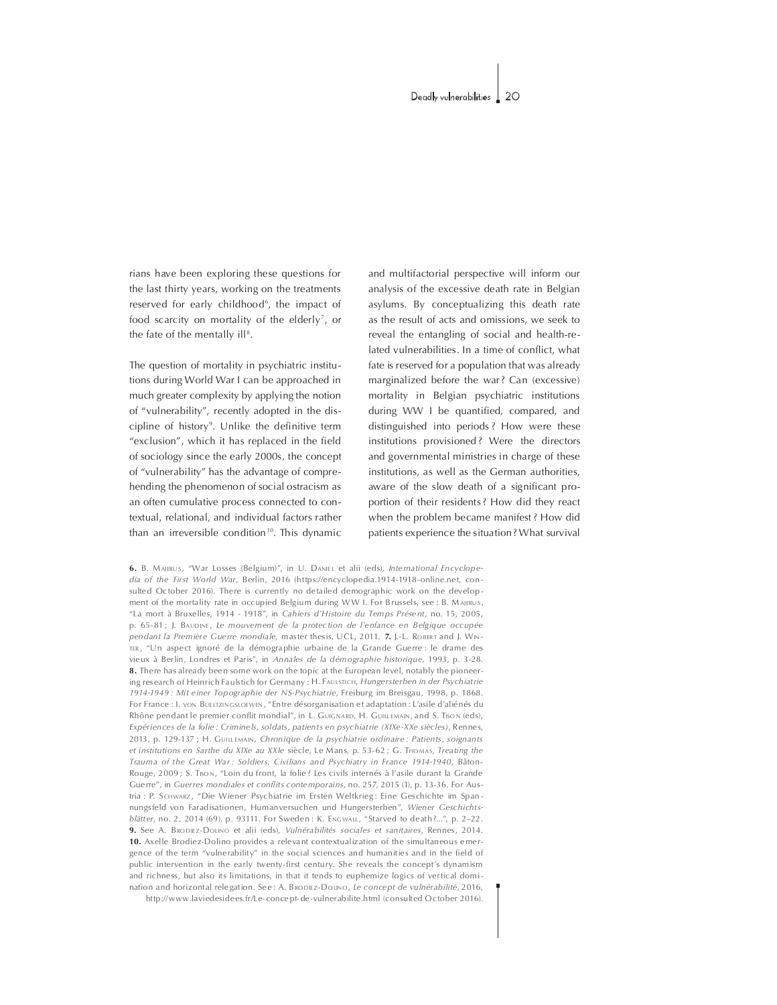rians have been exploring these questions for the last thirty years, working on the treatments reserved for early childhood<sup>6</sup>, the impact of food scarcity on mortality of the elderly<sup>7</sup>, or the fate of the mentally ill<sup>8</sup>.

The question of mortality in psychiatric institutions during World War I can be approached in much greater complexity by applying the notion of "vulnerability", recently adopted in the discipline of history<sup>9</sup>. Unlike the definitive term "exclusion", which it has replaced in the field of sociology since the early 2000s, the concept of "vulnerability" has the advantage of comprehending the phenomenon of social ostracism as an often cumulative process connected to contextual, relational, and individual factors rather than an irreversible condition<sup>10</sup>. This dynamic

and multifactorial perspective will inform our analysis of the excessive death rate in Belgian asylums. By conceptualizing this death rate as the result of acts and omissions, we seek to reveal the entangling of social and health-related vulnerabilities. In a time of conflict, what fate is reserved for a population that was already marginalized before the war? Can (excessive) mortality in Belgian psychiatric institutions during WW I be quantified, compared, and distinguished into periods? How were these institutions provisioned? Were the directors and governmental ministries in charge of these institutions, as well as the German authorities, aware of the slow death of a significant proportion of their residents? How did they react when the problem became manifest? How did patients experience the situation? What survival

6. B. MAJERUS, "War Losses (Belgium)", in U. DANIEL et alii (eds), International Encyclopedia of the First World War, Berlin, 2016 (https://encyclopedia.1914-1918-online.net, consulted October 2016). There is currently no detailed demographic work on the development of the mortality rate in occupied Belgium during WW I. For Brussels, see: B. MAJERUS, "La mort à Bruxelles, 1914 - 1918", in Cahiers d'Histoire du Temps Présent, no. 15, 2005. p. 65-81; J. BAUDINE, Le mouvement de la protection de l'enfance en Belgique occupée pendant la Première Guerre mondiale, master thesis, UCL, 2011. 7. J.-L. ROBERT and J. WIN-TER, "Un aspect ignoré de la démographie urbaine de la Grande Guerre : le drame des vieux à Berlin, Londres et Paris", in Annales de la démographie historique, 1993, p. 3-28. 8. There has already been some work on the topic at the European level, notably the pioneering research of Heinrich Faulstich for Germany : H. FAULSTICH, Hungersterben in der Psychiatrie 1914-1949 : Mit einer Topographie der NS-Psychiatrie, Freiburg im Breisgau, 1998, p. 1868. For France : L von Buritzingsrorwin, "Entre désorganisation et adaptation : L'asile d'aliénés du Rhône pendant le premier conflit mondial", in L. GUIGNARD, H. GUILLEMAIN, and S. TISON (eds), Expériences de la folie : Criminels, soldats, patients en psychiatrie (XIXe-XXe siècles), Rennes, 2013, p. 129-137 ; H. GUILLEMAIN, Chronique de la psychiatrie ordinaire : Patients, soignants et institutions en Sarthe du XIXe au XXIe siècle, Le Mans, p. 53-62 ; G. THOMAS, Treating the Trauma of the Great War: Soldiers, Civilians and Psychiatry in France 1914-1940, Bâton-Rouge, 2009; S. Tison, "Loin du front, la folie? Les civils internés à l'asile durant la Grande Guerre", in Guerres mondiales et conflits contemporains, no. 257, 2015 (1), p. 13-36. For Austria : P. SCHWARZ, "Die Wiener Psychiatrie im Ersten Weltkrieg: Eine Geschichte im Spannungsfeld von Faradisationen, Humanversuchen und Hungersterben", Wiener Geschichtsblätter, no. 2, 2014 (69), p. 93111. For Sweden: K. ENGWALL, "Starved to death?...", p. 2-22. 9. See A. BRODIEZ-DOLINO et alii (eds), Vulnérabilités sociales et sanitaires, Rennes, 2014. 10. Axelle Brodiez-Dolino provides a relevant contextualization of the simultaneous emergence of the term "vulnerability" in the social sciences and humanities and in the field of public intervention in the early twenty-first century. She reveals the concept's dynamism and richness, but also its limitations, in that it tends to euphemize logics of vertical domination and horizontal relegation. See: A. BRODIEZ-DOLINO, Le concept de vulnérabilité, 2016, http://www.laviedesidees.fr/Le-concept-de-vulnerabilite.html (consulted October 2016).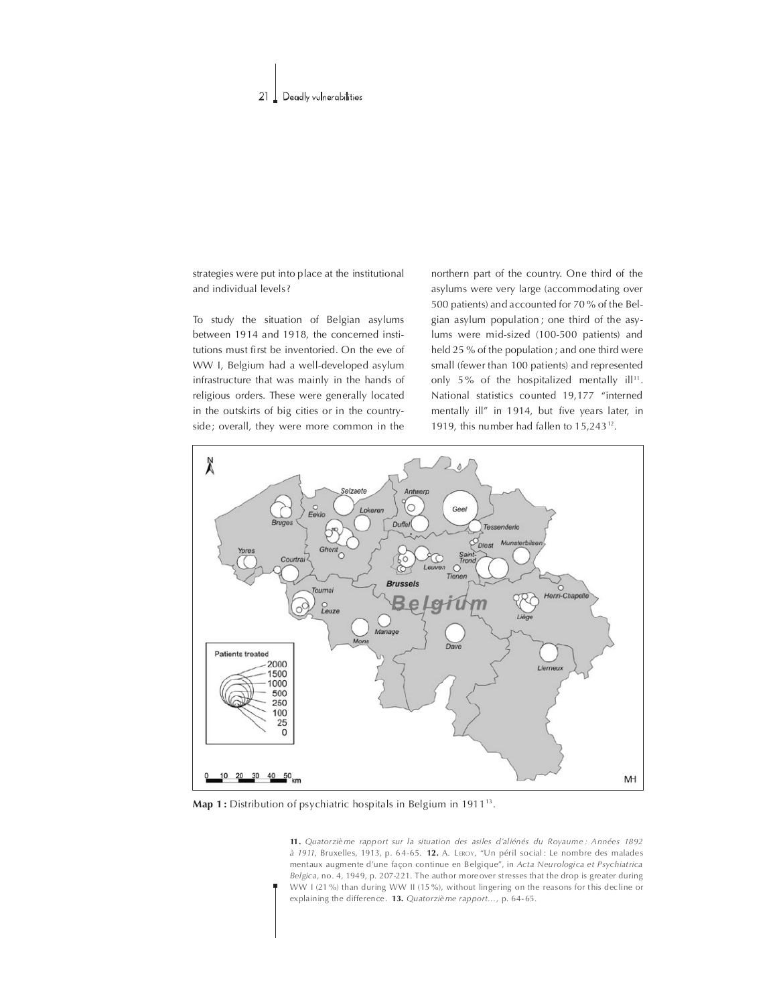strategies were put into place at the institutional and individual levels?

To study the situation of Belgian asylums between 1914 and 1918, the concerned institutions must first be inventoried. On the eve of WW I, Belgium had a well-developed asylum infrastructure that was mainly in the hands of religious orders. These were generally located in the outskirts of big cities or in the countryside; overall, they were more common in the

northern part of the country. One third of the asylums were very large (accommodating over 500 patients) and accounted for 70 % of the Belgian asylum population; one third of the asylums were mid-sized (100-500 patients) and held 25 % of the population; and one third were small (fewer than 100 patients) and represented only 5% of the hospitalized mentally ill<sup>11</sup>. National statistics counted 19,177 "interned mentally ill" in 1914, but five years later, in 1919, this number had fallen to  $15,243^{12}$ .



Map 1: Distribution of psychiatric hospitals in Belgium in 1911<sup>13</sup>.

11. Quatorzième rapport sur la situation des asiles d'aliénés du Royaume : Années 1892 à 1911, Bruxelles, 1913, p. 64-65. 12. A. LEROY, "Un péril social : Le nombre des malades mentaux augmente d'une façon continue en Belgique", in Acta Neurologica et Psychiatrica Belgica, no. 4, 1949, p. 207-221. The author more over stresses that the drop is greater during WW I (21 %) than during WW II (15 %), without lingering on the reasons for this decline or explaining the difference. 13. Quatorzième rapport..., p. 64-65.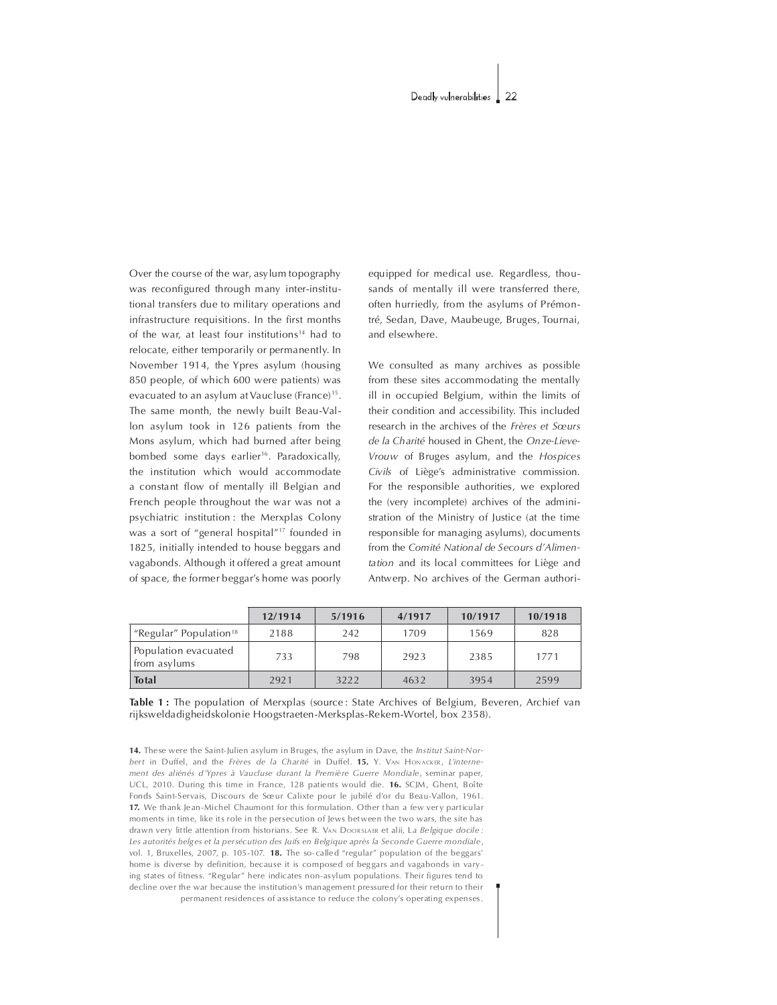Over the course of the war, asylum topography was reconfigured through many inter-institutional transfers due to military operations and infrastructure requisitions. In the first months of the war, at least four institutions<sup>14</sup> had to relocate, either temporarily or permanently. In November 1914, theYpres asylum (housing 850 people, of which 600 were patients) was evacuated to an asylum at Vaucluse (France)<sup>15</sup>. The same month, the newly built Beau-Vallon asylum took in 126 patients from the Mons asylum, which had burned after being bom bed some days earlier<sup>16</sup>. Paradoxically, the institution which would accommodate a constant flow of mentally ill Belgian and French people throughout the war was not a psychiatric institution : the Merxplas Colony was a sort of "general hospital"<sup>17</sup> founded in 1825, initially intended to house beggars and vagabonds. Although it offered a great amount of space, the former beggar's home was poorly

equipped for medical use. Regardless, thousands of mentally ill were transferred there, often hurriedly, from the asylums of Prémontré, Sedan, Dave, Maubeuge, Bruges, Tournai, and elsewhere.

We consulted as many archives as possible from these sites accommodating the mentally ill in occupied Belgium, within the limits of their condition and accessibility. This included research in the archives of the Frères et Sœurs de la Charité housed in Ghent, the Onze-Lieve-Vrouw of Bruges asylum, and the Hospices Civils of Liège's administrative commission. For the responsible authorities, we explored the (very incomplete) archives of the administration of the Ministry of Justice (at the time responsible for managing asylums), documents from the Comité National de Secours d'Alimentation and its local committees for Liège and Antwerp. No archives of the German authori-

|                                                | 12/1914 | 5/1916 | 4/1917 | 10/1917 | 10/1918 |
|------------------------------------------------|---------|--------|--------|---------|---------|
| <sup>"</sup> Regular" Population <sup>18</sup> | 2188    | 242    | 1709   | 1569    | 828     |
| Population evacuated<br>from asylums           | 733     | 798    | 2923   | 2385    | 1771    |
| <b>Total</b>                                   | 2921    | 3222   | 4632   | 3954    | 2599    |

### Table 1: The population of Merxplas (source: State Archives of Belgium, Beveren, Archief van rijksweldadigheidskolonie Hoogstraeten-Merksplas-Rekem-Wortel, box 2358).

14. These were the Saint-Julien asylum in Bruges, the asylum in Dave, the Institut Saint-Norbert in Duffel, and the Frères de la Charité in Duffel. 15. Y. VAN HONACKER, L'internement des aliénés d'Ypres à Vaucluse durant la Première Guerre Mondiale, seminar paper, UCL, 2010. During this time in France, 128 patients would die. 16. SCJM, Ghent, Boîte Fonds Saint-Servais, Discours de Sœur Calixte pour le jubilé d'or du Beau-Vallon, 1961. 17. We thank Jean-Michel Chaumont for this formulation. Other than a few very particular moments in time, like its role in the persecution of Jews between the two wars, the site has drawn very little attention from historians. See R. VAN DOORSLAER et alii, La Belgique docile : Les autorités belg es et la persécution des Juifs en Belgique après la Seconde Guerre mondiale, vol. 1, Bruxelles, 2007, p. 105-107. 18. The so-called "regular" population of the beggars' home is diverse by definition, because it is composed of beggars and vagabonds in varying states of fitness. "Regular" here indicates non-asylum populations. Their figures tend to decline over the war because the institution's management pressured for their return to their permanent residences of assistance to reduce the colony's operating expenses.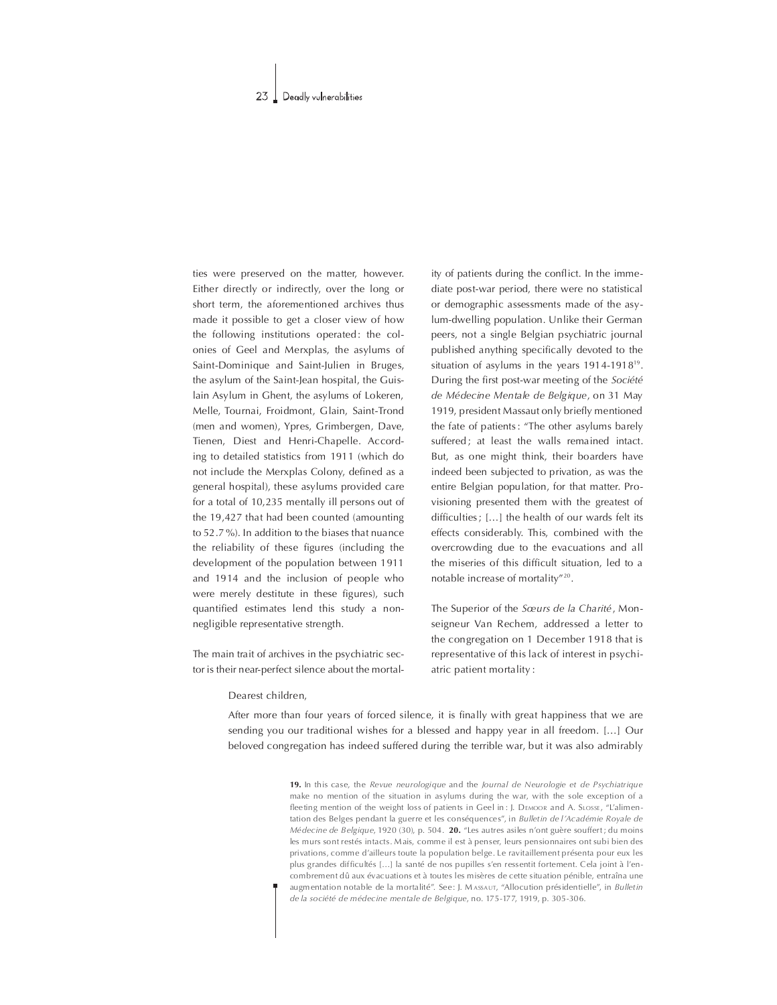ties were preserved on the matter, however. Either directly or indirectly, over the long or short term, the aforementioned archives thus made it possible to get a closer view of how the following institutions operated: the colonies of Geel and Merxplas, the asylums of Saint-Dominique and Saint-Julien in Bruges, the asylum of the Saint-Jean hospital, the Guislain Asylum in Ghent, the asylums of Lokeren, Melle, Tournai, Froidmont, Glain, Saint-Trond (men and women), Ypres, Grimbergen, Dave, Tienen, Diest and Henri-Chapelle. According to detailed statistics from 1911 (which do not include the Merxplas Colony, defined as a general hospital), these asylums provided care for a total of 10,235 mentally ill persons out of the 19,427 that had been counted (amounting to 52.7%). In addition to the biases that nuance the reliability of these figures (including the development of the population between 1911 and 1914 and the inclusion of people who were merely destitute in these figures), such quantified estimates lend this study a nonnegligible representative strength.

The main trait of archives in the psychiatric sector is their near-perfect silence about the mortality of patients during the conflict. In the immediate post-war period, there were no statistical or demographic assessments made of the asylum-dwelling population. Unlike their German peers, not a single Belgian psychiatric journal published anything specifically devoted to the situation of asylums in the years  $1914-1918^{19}$ . During the first post-war meeting of the Société de Médecine Mentale de Belgique, on 31 May 1919, president Massaut only briefly mentioned the fate of patients: "The other asylums barely suffered; at least the walls remained intact. But, as one might think, their boarders have indeed been subjected to privation, as was the entire Belgian population, for that matter. Provisioning presented them with the greatest of difficulties; [...] the health of our wards felt its effects considerably. This, combined with the overcrowding due to the evacuations and all the miseries of this difficult situation, led to a notable increase of mortality"<sup>20</sup>.

The Superior of the Sœurs de la Charité, Monseigneur Van Rechem, addressed a letter to the congregation on 1 December 1918 that is representative of this lack of interest in psychiatric patient mortality:

### Dearest children,

After more than four years of forced silence, it is finally with great happiness that we are sending you our traditional wishes for a blessed and happy year in all freedom. [...] Our beloved congregation has indeed suffered during the terrible war, but it was also admirably

> 19. In this case, the Revue neurologique and the Journal de Neurologie et de Psychiatrique make no mention of the situation in asylums during the war, with the sole exception of a fleeting mention of the weight loss of patients in Geel in: J. DEMOOR and A. SLOSSE, "L'alimentation des Belges pendant la guerre et les conséquences", in Bulletin de l'Académie Royale de Médecine de Belgique, 1920 (30), p. 504. 20. "Les autres asiles n'ont guère souffert; du moins les murs sont restés intacts. Mais, comme il est à penser, leurs pensionnaires ont subi bien des privations, comme d'ailleurs toute la population belge. Le ravitaillement présenta pour eux les plus grandes difficultés [...] la santé de nos pupilles s'en ressentit fortement. Cela joint à l'encombrement dû aux évacuations et à toutes les misères de cette situation pénible, entraîna une augmentation notable de la mortalité". See: J. MASSAUT, "Allocution présidentielle", in Bulletin de la société de médecine mentale de Belgique, no. 175-177, 1919, p. 305-306.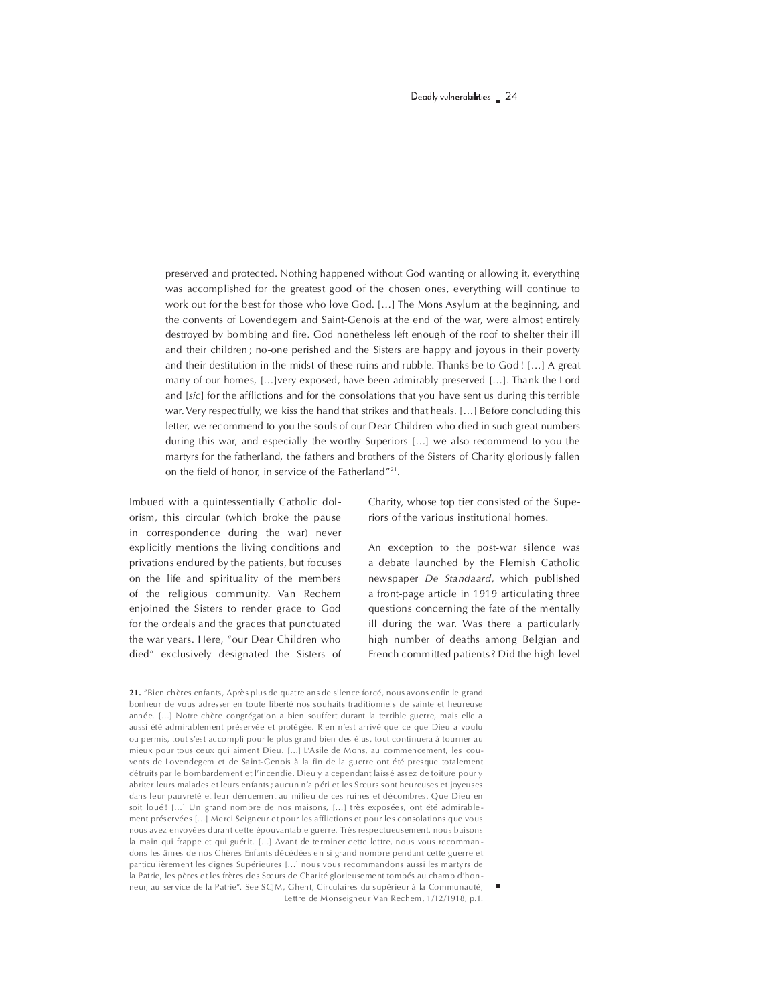preserved and protected. Nothing happened without God wanting or allowing it, everything was accomplished for the greatest good of the chosen ones, everything will continue to work out for the best for those who love God. [...] The Mons Asylum at the beginning, and the convents of Lovendegem and Saint-Genois at the end of the war, were almost entirely destroyed by bombing and fire. God nonetheless left enough of the roof to shelter their ill and their children; no-one perished and the Sisters are happy and joyous in their poverty and their destitution in the midst of these ruins and rubble. Thanks be to  $God$  ! [...] A great many of our homes, [...]very exposed, have been admirably preserved [...]. Thank the Lord and  $[sic]$  for the afflictions and for the consolations that you have sent us during this terrible war. Very respectfully, we kiss the hand that strikes and that heals. [...] Before concluding this letter, we recommend to you the souls of our Dear Children who died in such great numbers during this war, and especially the worthy Superiors [...] we also recommend to you the martyrs for the fatherland, the fathers and brothers of the Sisters of Charity gloriously fallen on the field of honor, in service of the Fatherland"<sup>21</sup>.

Imbued with a quintessentially Catholic dolorism, this circular (which broke the pause in correspondence during the war) never explicitly mentions the living conditions and privations endured by the patients, but focuses on the life and spirituality of the members of the religious community. Van Rechem enjoined the Sisters to render grace to God for the ordeals and the graces that punctuated the war years. Here, "our Dear Children who died" exclusively designated the Sisters of

Charity, whose top tier consisted of the Superiors of the various institutional homes.

An exception to the post-war silence was a debate launched by the Flemish Catholic new spaper De Standaard, which published a front-page article in 1919 articulating three questions concerning the fate of the mentally ill during the war. Was there a particularly high number of deaths among Belgian and French committed patients? Did the high-level

21. "Bien chères enfants, Après plus de quatre ans de silence forcé, nous avons enfin le grand bonheur de vous adresser en toute liberté nos souhaits traditionnels de sainte et heureuse année. [...] Notre chère congrégation a bien souffert durant la terrible guerre, mais elle a aussi été admira blement préservée et protégée. Rien n'est arrivé que ce que Dieu a voulu ou permis, tout s'est accompli pour le plus grand bien des élus, tout continuera à tourner au mieux pour tous ceux qui aiment Dieu. [...] L'Asile de Mons, au commencement, les couvents de Lovendegem et de Saint-Genois à la fin de la guerre ont été presque totalement détruits par le bombardem ent et l'incendie. Dieu y a cependant laissé assez de toiture pour y abriter leurs malades et leurs enfants ; aucun n'a péri et les Sœurs sont heureuses et joyeuses dans leur pauvreté et leur dénuem ent au milieu de ces ruines et décombres. Que Dieu en soit loué ! [...] Un grand nombre de nos maisons, [...] très exposées, ont été admirablement préservées [...] Merci Seigneur et pour les afflictions et pour les consolations que vous nous avez envoyées durant cette épouvantable guerre. Très respectueusem ent, nous baisons la main qui frappe et qui guérit. [...] Avant de terminer cette lettre, nous vous recomman dons les âmes de nos Chères Enfants décédées en si grand nombre pendant cette guerre et par ticulièrem ent les dignes Supérieures [...] nous vous recommandons aussi les marty rs de la Patrie, les pères et les frères des Sœurs de Charité glorieusement tombés au champ d'honneur, au ser vice de la Patrie". See SCJM, Ghent, Circulaires du supérieur à la Communauté, Lettre de Monseigneur Van Rechem, 1/12/1918, p.1.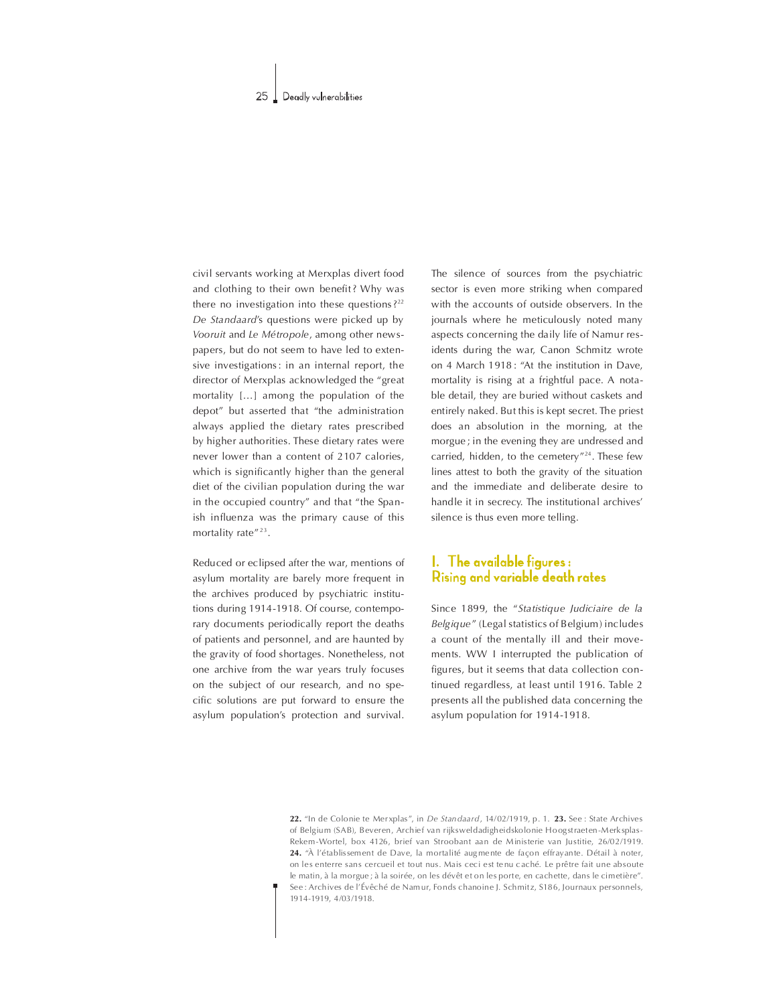civil servants working at Merxplas divert food and clothing to their own benefit? Why was there no investigation into these questions?<sup>22</sup> De Standaard's questions were picked up by Vooruit and Le Métropole, among other newspapers, but do not seem to have led to extensive investigations: in an internal report, the director of Merxplas acknowledged the "great mortality  $[...]$  among the population of the depot" but asserted that "the administration always applied the dietary rates prescribed by higher authorities. These dietary rates were never lower than a content of 2107 calories, which is significantly higher than the general diet of the civilian population during the war in the occupied country" and that "the Spanish influenza was the primary cause of this mortality rate"<sup>23</sup>.

Reduced or eclipsed after the war, mentions of asylum mortality are barely more frequent in the archives produced by psychiatric institutions during 1914-1918. Of course, contemporary documents periodically report the deaths of patients and personnel, and are haunted by the gravity of food shortages. Nonetheless, not one archive from the war years truly focuses on the subject of our research, and no specific solutions are put forward to ensure the asylum population's protection and survival.

The silence of sources from the psychiatric sector is even more striking when compared with the accounts of outside observers. In the journals where he meticulously noted many aspects concerning the daily life of Namur residents during the war, Canon Schmitz wrote on 4 March 1918 : "At the institution in Dave, mortality is rising at a frightful pace. A notable detail, they are buried without caskets and entirely naked. But this is kept secret. The priest does an absolution in the morning, at the morgue; in the evening they are undressed and carried, hidden, to the cemetery"<sup>24</sup>. These few lines attest to both the gravity of the situation and the immediate and deliberate desire to handle it in secrecy. The institutional archives' silence is thus even more telling.

# 1. The available figures: Rising and variable death rates

Since 1899, the "Statistique Judiciaire de la Belgique" (Legal statistics of Belgium) includes a count of the mentally ill and their movements.WW I interrupted the publication of figures, but it seems that data collection continued regardless, at least until 1916. Table 2 presents all the published data concerning the asylum population for 1914-1918.

22. "In de Colonie te Merxplas", in De Standaard, 14/02/1919, p. 1. 23. See : State Archives of Belgium (SAB), B everen, Archief van rijksweldadigheidskolonie Ho ogstraeten-Merk splas-Rekem -Wortel, box 4126, brief van Stroobant aan de Ministerie van Justitie, 26/02/1919. 24. "À l'établis sem ent de Dave, la mortalité augmente de façon effrayante. Détail à noter, on les enterre sans cercueil et tout nus. Mais ceci est tenu caché. Le prêtre fait une absoute le matin, à la morgue ; à la soirée, on les dévêt et on les porte, en cachette, dans le cimetière". See : Archives de l'Évêché de Namur, Fonds chanoine J. Schmitz, S186, Journaux personnels, 1914-1919,4/03/1918.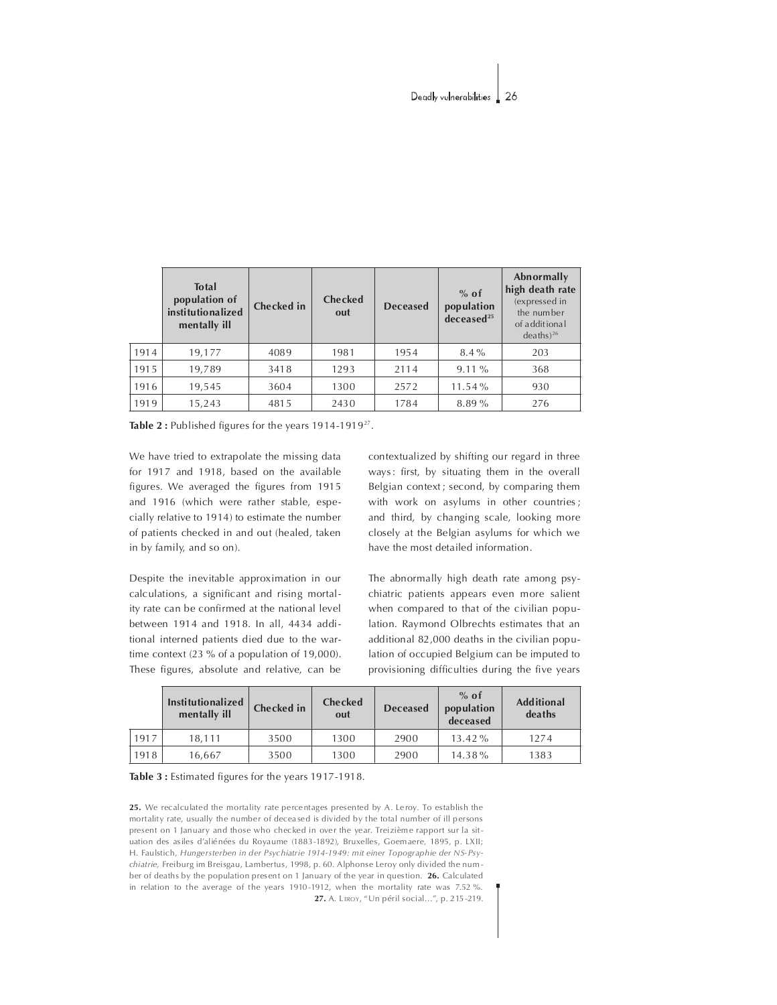|      | <b>Total</b><br>population of<br>institutionalized<br>mentally ill | <b>Checked</b> in | <b>Checked</b><br>out | <b>Deceased</b> | $%$ of<br>population<br>decased <sup>25</sup> | Abnormally<br>high death rate<br>(expressed in<br>the number<br>of additional<br>$deaths)^{26}$ |
|------|--------------------------------------------------------------------|-------------------|-----------------------|-----------------|-----------------------------------------------|-------------------------------------------------------------------------------------------------|
| 1914 | 19,177                                                             | 4089              | 1981                  | 1954            | $8.4\%$                                       | 203                                                                                             |
| 1915 | 19,789                                                             | 3418              | 1293                  | 2114            | $9.11\%$                                      | 368                                                                                             |
| 1916 | 19,545                                                             | 3604              | 1300                  | 2572            | $11.54\%$                                     | 930                                                                                             |
| 1919 | 15,243                                                             | 4815              | 2430                  | 1784            | 8.89%                                         | 276                                                                                             |

Table 2: Published figures for the years 1914-1919<sup>27</sup>.

We have tried to extrapolate the missing data for 1917 and 1918, based on the available figures. We averaged the figures from 1915 and 1916 (which were rather stable, especially relative to 1914) to estimate the number of patients checked in and out (healed, taken in by family, and so on).

Despite the inevitable approximation in our calculations, a significant and rising mortality rate can be confirmed at the national level between 1914 and 1918. In all, 4434 additional interned patients died due to the wartime context  $(23 % of a population of 19,000).$ These figures, absolute and relative, can be

contextualized by shifting our regard in three ways: first, by situating them in the overall Belgian context; second, by comparing them with work on asylums in other countries; and third, by changing scale, looking more closely at the Belgian asylums for which we have the most detailed information.

The abnormally high death rate among psychiatric patients appears even more salient when compared to that of the civilian population. Raymond Olbrechts estimates that an additional 82,000 deaths in the civilian population of occupied Belgium can be imputed to provisioning difficulties during the five years

|      | <b>Institutionalized</b><br>mentally ill | <b>Checked</b> in | <b>Checked</b><br>out | <b>Deceased</b> | $%$ of<br>population<br>deceased | <b>Additional</b><br>deaths |
|------|------------------------------------------|-------------------|-----------------------|-----------------|----------------------------------|-----------------------------|
| 1917 | 18.111                                   | 3500              | 1300                  | 2900            | $13.42\%$                        | 1274                        |
| 1918 | 16.667                                   | 3500              | 1300                  | 2900            | $14.38\%$                        | 1383                        |

### Table 3 : Estimated figures for the years 1917-1918.

25. We recalculated the mortality rate percentages presented by A. Leroy. To establish the mortality rate, usually the number of deceased is divided by the total number of ill persons present on 1 January and those who checked in over the year. Treizième rapport sur la situation des asiles d'aliénées du Royaume (1883-1892), Bruxelles, Goemaere, 1895, p. LXII; H. Faulstich, Hungersterben in der Psychiatrie 1914-1949: mit einer Topographie der NS-Psychiatrie, Freiburg im Breisgau, Lambertus, 1998, p. 60. Alphonse Leroy only divided the number of deaths by the population present on 1 January of the year in question. 26. Calculated in relation to the average of the years 1910-1912, when the mortality rate was 7.52 %. 27. A. LEROY, "Un péril social...", p. 215-219.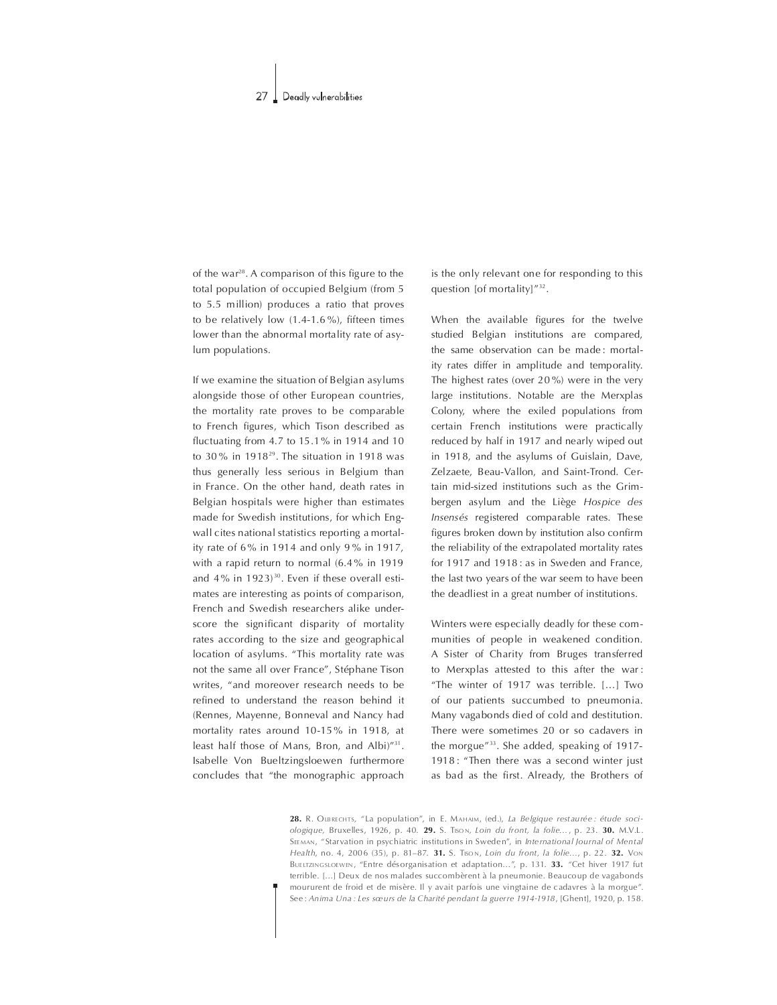of the war<sup>28</sup>. A comparison of this figure to the total population of occupied Belgium (from 5 to 5.5 million) produces a ratio that proves to be relatively low  $(1.4-1.6\%)$ , fifteen times lower than the abnormal mortality rate of asylum populations.

If we examine the situation of Belgian asylums alongside those of other European countries, the mortality rate proves to be comparable to French figures, which Tison described as fluctuating from 4.7 to 15.1% in 1914 and 10 to 30% in 1918 $29$ . The situation in 1918 was thus generally less serious in Belgium than in France. On the other hand, death rates in Belgian hospitals were higher than estimates made for Swedish institutions, for which Engwall cites national statistics reporting a mortality rate of 6% in 1914 and only 9% in 1917, with a rapid return to normal (6.4% in 1919 and  $4\%$  in  $1923$ <sup>30</sup>. Even if these overall estimates are interesting as points of comparison, French and Swedish researchers alike underscore the significant disparity of mortality rates according to the size and geographical location of asylums. "This mortality rate was not the same all over France", Stéphane Tison writes, "and moreover research needs to be refined to understand the reason behind it (Rennes, Mayenne, Bonneval and Nancy had mortality rates around 10-15% in 1918, at least half those of Mans, Bron, and Albi)"31. Isabelle Von Bueltzingsloewen furthermore concludes that "the monographic approach

is the only relevant one for responding to this question [of mortality]"32.

When the available figures for the twelve studied Belgian institutions are compared, the same observation can be made: mortality rates differ in amplitude and temporality. The highest rates (over  $20\%$ ) were in the very large institutions. Notable are the Merxplas Colony, where the exiled populations from certain French institutions were practically reduced by half in 1917 and nearly wiped out in 1918, and the asylums of Guislain, Dave, Zelzaete, Beau-Vallon, and Saint-Trond. Certain mid-sized institutions such as the Grimbergen asylum and the Liège Hospice des Insensés registered comparable rates. These figures broken down by institution also confirm the reliability of the extrapolated mortality rates for 1917 and 1918: as in Sweden and France, the last two years of the war seem to have been the deadliest in a great number of institutions.

Winters were especially deadly for these communities of people in weakened condition. A Sister of Charity from Bruges transferred to Merxplas attested to this after the war: "The winter of 1917 was terrible. [...] Two of our patients succumbed to pneumonia. Many vagabonds died of cold and destitution. There were sometimes 20 or so cadavers in the morgue"33. She added, speaking of 1917-1918: "Then there was a second winter just as bad as the first. Already, the Brothers of

28. R. OLBRECHTS, "La population", in E. MAHAIM, (ed.), La Belgique restaurée : étude sociologique, Bruxelles, 1926, p. 40. 29. S. Tison, Loin du front, la folie..., p. 23. 30. M.V.L. SEEMAN, "Starvation in psychiatric institutions in Sweden", in International Journal of Mental Health, no. 4, 2006 (35), p. 81-87. 31. S. TISON, Loin du front, la folie..., p. 22. 32. VON BUELTZINGSLOEWEN, "Entre désorganisation et adaptation...", p. 131. 33. "Cet hiver 1917 fut terrible. [...] Deux de nos malades succombèrent à la pneumonie. Beaucoup de vagabonds moururent de froid et de misère. Il y avait parfois une vingtaine de cadavres à la morgue". See: Anima Una : Les sœurs de la Charité pendant la guerre 1914-1918, [Ghent], 1920, p. 158.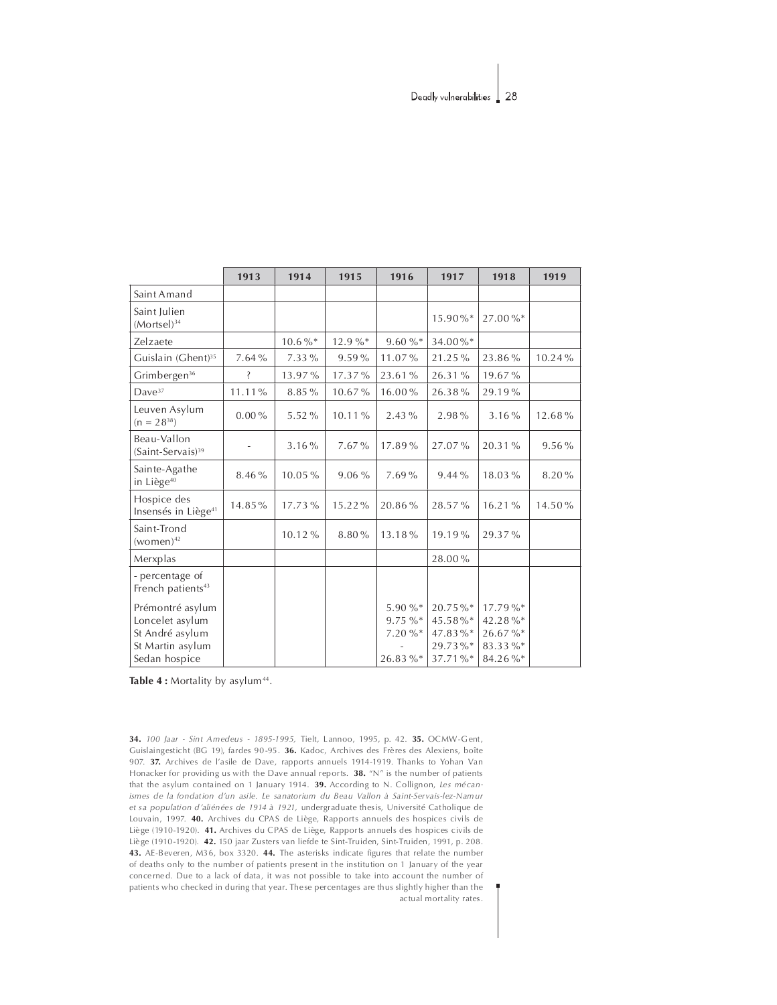|                                                                                             | 1913     | 1914        | 1915   | 1916                                     | 1917                                                | 1918                                                | 1919      |
|---------------------------------------------------------------------------------------------|----------|-------------|--------|------------------------------------------|-----------------------------------------------------|-----------------------------------------------------|-----------|
| Saint Amand                                                                                 |          |             |        |                                          |                                                     |                                                     |           |
| Saint Julien<br>$(Mortsel)^{34}$                                                            |          |             |        |                                          | $15.90\%$ *                                         | 27.00%*                                             |           |
| Zelzaete                                                                                    |          | $10.6\,\%*$ | 12.9%* | 9.60%                                    | 34.00%*                                             |                                                     |           |
| Guislain (Ghent) <sup>35</sup>                                                              | 7.64%    | 7.33 %      | 9.59%  | 11.07%                                   | 21.25%                                              | 23.86%                                              | $10.24\%$ |
| Grimbergen <sup>36</sup>                                                                    | Š        | 13.97%      | 17.37% | 23.61%                                   | 26.31%                                              | 19.67%                                              |           |
| Dave <sup>37</sup>                                                                          | 11.11%   | 8.85%       | 10.67% | 16.00%                                   | 26.38%                                              | 29.19%                                              |           |
| Leuven Asylum<br>$(n = 28^{38})$                                                            | $0.00\%$ | 5.52%       | 10.11% | $2.43\%$                                 | 2.98%                                               | 3.16%                                               | 12.68%    |
| Beau-Vallon<br>(Saint-Servais) <sup>39</sup>                                                |          | 3.16%       | 7.67%  | 17.89%                                   | 27.07%                                              | 20.31%                                              | $9.56\%$  |
| Sainte-Agathe<br>in Liège <sup>40</sup>                                                     | 8.46%    | 10.05%      | 9.06%  | 7.69%                                    | 9.44%                                               | 18.03%                                              | 8.20%     |
| Hospice des<br>Insensés in Liège <sup>41</sup>                                              | 14.85%   | 17.73%      | 15.22% | 20.86%                                   | 28.57%                                              | 16.21%                                              | 14.50%    |
| Saint-Trond<br>$(women)^{42}$                                                               |          | 10.12%      | 8.80%  | 13.18%                                   | 19.19%                                              | 29.37%                                              |           |
| Merxplas                                                                                    |          |             |        |                                          | 28.00%                                              |                                                     |           |
| - percentage of<br>French patients <sup>43</sup>                                            |          |             |        |                                          |                                                     |                                                     |           |
| Prémontré asylum<br>Loncelet asylum<br>St André asylum<br>St Martin asylum<br>Sedan hospice |          |             |        | 5.90%*<br>$9.75 \%$<br>7.20%*<br>26.83%* | 20.75%*<br>45.58%*<br>47.83%*<br>29.73%*<br>37.71%* | 17.79%*<br>42.28%*<br>26.67%*<br>83.33%*<br>84.26%* |           |

Table 4 : Mortality by asylum<sup>44</sup>.

34. 100 Jaar - Sint Amedeus - 1895-1995, Tielt, Lannoo, 1995, p. 42. 35. OCMW-Gent, Guislaingesticht (BG 19), fardes 90-95. 36. Kadoc, Archives des Frères des Alexiens, boîte 907. 37. Archives de l'asile de Dave, rapports annuels 1914-1919. Thanks to Yohan Van Honacker for providing us with the Dave annual reports.  $38.$  "N" is the number of patients that the asylum contained on 1 January 1914. **39.** According to N. Collignon, Les mécanismes de la fondation d'un asile. Le sanatorium du Beau Vallon à Saint-Servais-lez-Namur et sa population d'aliénées de 1914 à 1921, undergraduate thesis, Université Catholique de Louvain, 1997. 40. Archives du CPAS de Liège, Rapports annuels des hospices civils de Liège (1910-1920). 41. Archives du CPAS de Liège, Rapports annuels des hospices civils de Liè ge (1910-1920). 42. 150 jaar Zusters van liefde te Sint-Truiden, Sint-Truiden, 1991, p. 208. 43. AE-Beveren, M36, box 3320. 44. The asterisks indicate figures that relate the number of deaths only to the number of patients present in the institution on 1 January of the year conce rne d. Due to a lack of data, it was not possible to take into account the number of patients who checked in during that year. These percentages are thus slightly higher than the actual mortality rates.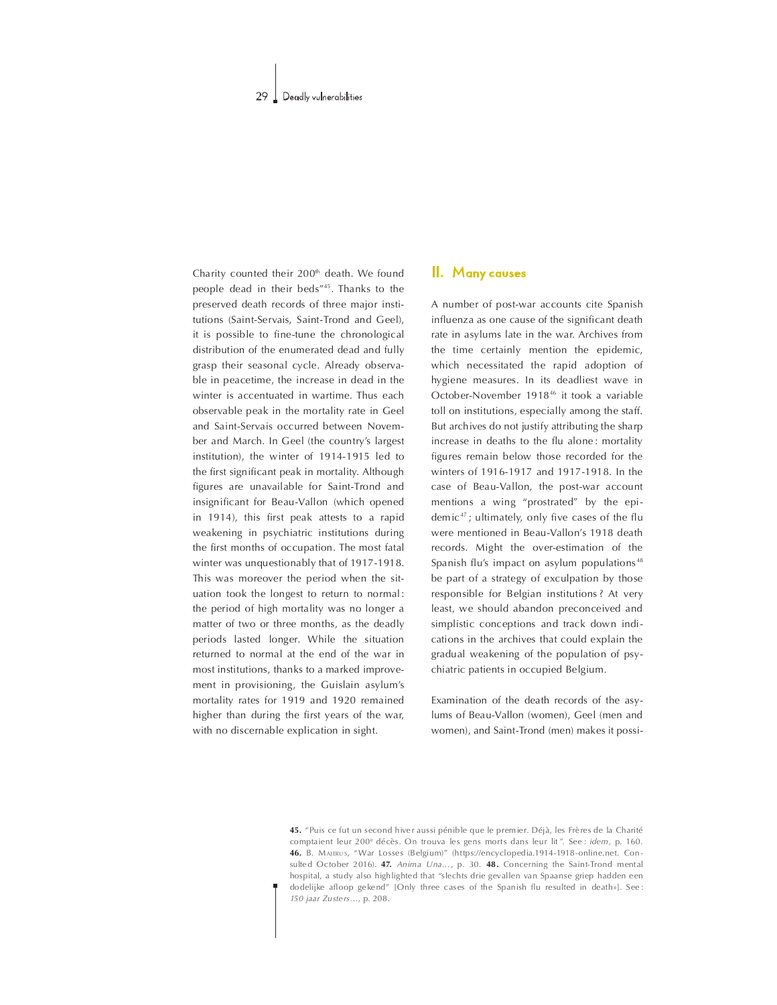Charity counted their  $200<sup>th</sup>$  death. We found people dead in their beds"<sup>45</sup>. Thanks to the preserved death records of three major institutions (Saint-Servais, Saint-Trond and Geel), it is possible to fine-tune the chronological distribution of the enumerated dead and fully grasp their seasonal cycle. Already observable in peacetime, the increase in dead in the winter is accentuated in wartime. Thus each observable peak in the mortality rate in Geel and Saint-Servais occurred between November and March. In Geel (the country's largest institution), the winter of 1914-1915 led to the first significant peak in mortality. Although gures are unavailable for Saint-Trond and insignificant for Beau-Vallon (which opened in 1914), this first peak attests to a rapid weakening in psychiatric institutions during the first months of occupation. The most fatal winter was unquestionably that of 1917-1918. This was moreover the period when the situation took the longest to return to normal : the period of high mortality was no longer a matter of two or three months, as the deadly periods lasted longer. While the situation returned to normal at the end of the war in most institutions, thanks to a marked improvement in provisioning, the Guislain asylum's mortality rates for 1919 and 1920 remained higher than during the first years of the war, with no discernable explication in sight.

# II. Many causes

A number of post-war accounts cite Spanish influenza as one cause of the significant death rate in asylums late in the war. Archives from the time certainly mention the epidemic, which necessitated the rapid adoption of hygiene measures. In its deadliest wave in October-November 191846 it took a variable toll on institutions, especially among the staff. But archives do not justify attributing the sharp increase in deaths to the flu alone: mortality figures remain below those recorded for the winters of 1916-1917 and 1917-1918. In the case of Beau-Vallon, the post-war account mentions a wing "prostrated" by the epidemic<sup>47</sup>; ultimately, only five cases of the flu were mentioned in Beau-Vallon's 1918 death records. Might the over-estimation of the Spanish flu's impact on asylum populations<sup>48</sup> be part of a strategy of exculpation by those responsible for Belgian institutions ? At very least, we should abandon preconceived and simplistic conceptions and track down indications in the archives that could explain the gradual weakening of the population of psychiatric patients in occupied Belgium.

Examination of the death records of the asylums of Beau-Vallon (women), Geel (men and women), and Saint-Trond (men) makes it possi-

45. "Puis ce fut un second hiver aussi pénible que le premier. Déjà, les Frères de la Charité comptaient leur 200<sup>e</sup> décès. On trouva les gens morts dans leur lit". See : *idem*, p. 160. 46. B. MAJERUS, "War Losses (Belgium)" (https://encyclopedia.1914-1918-online.net. Consulted October 2016). 47. Anima Una..., p. 30. 48. Concerning the Saint-Trond mental hospital, a study also highlighted that "slechts drie gevallen van Spaanse griep hadden een do delijke afloop ge kend" [Only three cases of the Spanish flu resulted in death»]. See : 150 jaar Zusters…, p.208.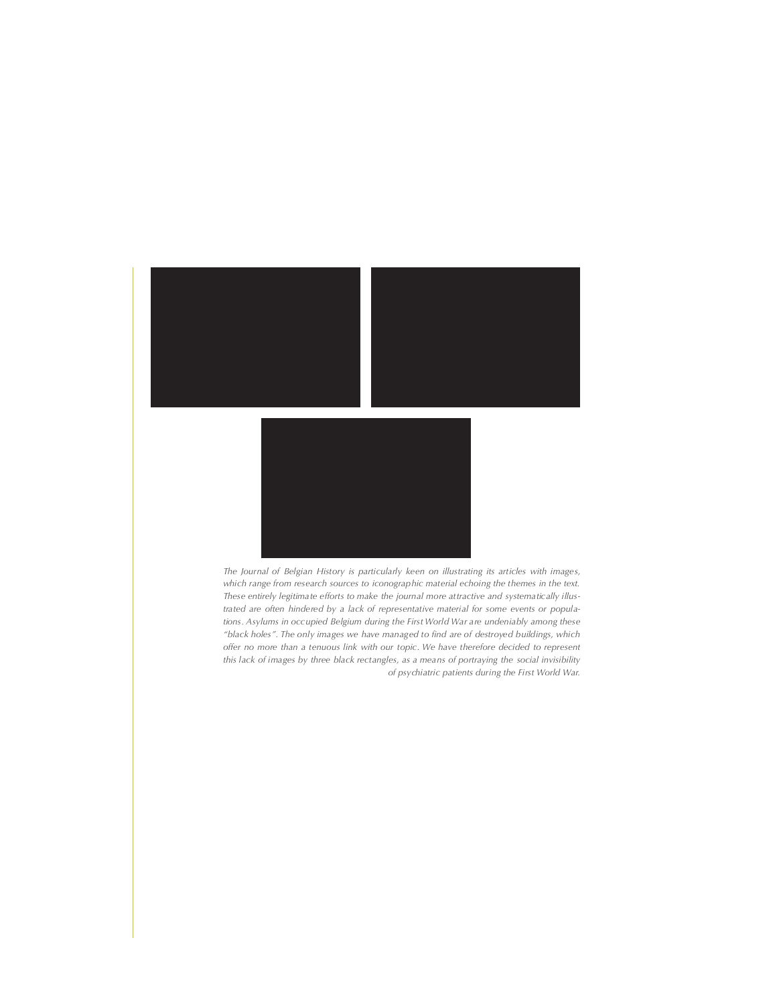

The Journal of Belgian History is particularly keen on illustrating its articles with images, which range from research sources to iconographic material echoing the themes in the text. These entirely legitimate efforts to make the journal more attractive and systematically illustrated are often hindered by a lack of representative material for some events or populations. Asylums in occupied Belgium during the First World War are undeniably among these "black holes". The only images we have managed to find are of destroyed buildings, which offer no more than a tenuous link with our topic. We have therefore decided to represent this lack of images by three black rectangles, as a means of portraying the social invisibility of psychiatric patients during the First World War.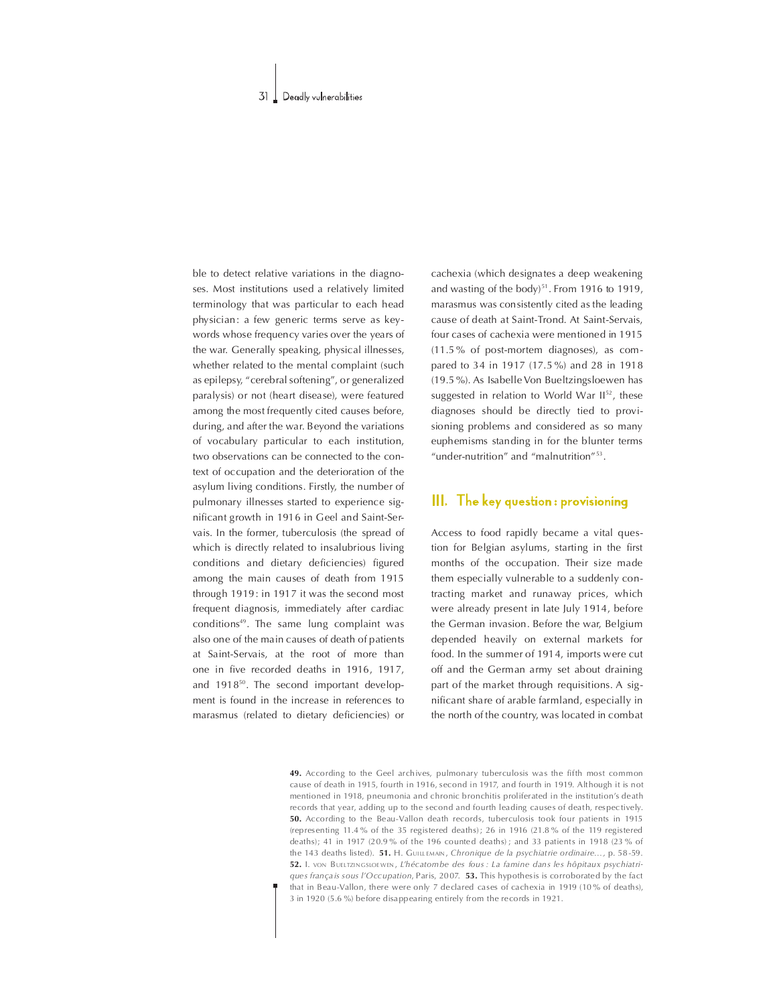ble to detect relative variations in the diagnoses. Most institutions used a relatively limited terminology that was particular to each head physician: a few generic terms serve as keywords whose frequency varies over the years of the war. Generally speaking, physical illnesses, whether related to the mental complaint (such as epilepsy, "cerebral softening", or generalized paralysis) or not (heart disease), were featured among the most frequently cited causes before, during, and after the war. Beyond the variations of vocabulary particular to each institution, two observations can be connected to the context of occupation and the deterioration of the asylum living conditions. Firstly, the number of pulmonary illnesses started to experience significant growth in 1916 in Geel and Saint-Servais. In the former, tuberculosis (the spread of which is directly related to insalubrious living conditions and dietary deficiencies) figured among the main causes of death from 1915 through 1919: in 1917 it was the second most frequent diagnosis, immediately after cardiac conditions<sup>49</sup>. The same lung complaint was also one of the main causes of death of patients at Saint-Servais, at the root of more than one in five recorded deaths in 1916, 1917, and  $1918^{50}$ . The second important development is found in the increase in references to marasmus (related to dietary deficiencies) or

cachexia (which designates a deep weakening and wasting of the body)<sup>51</sup>. From 1916 to 1919. marasmus was consistently cited as the leading cause of death at Saint-Trond. At Saint-Servais, four cases of cachexia were mentioned in 1915 (11.5 % of post-mortem diagnoses), as compared to 34 in 1917 (17.5%) and 28 in 1918 (19.5%). As Isabelle Von Bueltzingsloewen has suggested in relation to World War  $II<sup>52</sup>$ , these diagnoses should be directly tied to provisioning problems and considered as so many euphemisms standing in for the blunter terms "under-nutrition" and "malnutrition"<sup>53</sup>.

# III. The key question: provisioning

Access to food rapidly became a vital question for Belgian asylums, starting in the first months of the occupation. Their size made them especially vulnerable to a suddenly contracting market and runaway prices, which were already present in late July 1914, before the German invasion. Before the war, Belgium depended heavily on external markets for food. In the summer of 1914, imports were cut off and the German army set about draining part of the market through requisitions. A significant share of arable farmland, especially in the north of the country, was located in combat

49. According to the Geel archives, pulmonary tuberculosis was the fifth most common cause of death in 1915, fourth in 1916, second in 1917, and fourth in 1919. Although it is not mentioned in 1918, pneumonia and chronic bronchitis proliferated in the institution's death records that year, adding up to the second and fourth leading causes of death, respec tively. 50. According to the Beau-Vallon death records, tuberculosis took four patients in 1915 (representing 11.4 % of the 35 registered deaths); 26 in 1916 (21.8 % of the 119 registered deaths); 41 in 1917 (20.9 % of the 196 counted deaths); and 33 patients in 1918 (23 % of the 143 deaths listed). 51. H. GUILLEMAIN, Chronique de la psychiatrie ordinaire..., p. 58-59. 52. I. von BUELTZINGSLOE WEN, L'hécatombe des fous : La famine dans les hôpitaux psychiatriques frança is sous l'Occupation, Paris, 2007. 53. This hypothesis is corroborated by the fact that in Beau-Vallon, there were only 7 declared cases of cachexia in 1919 (10 % of deaths), 3 in 1920 (5.6 %) before disa pp earing entirely from the records in 1921.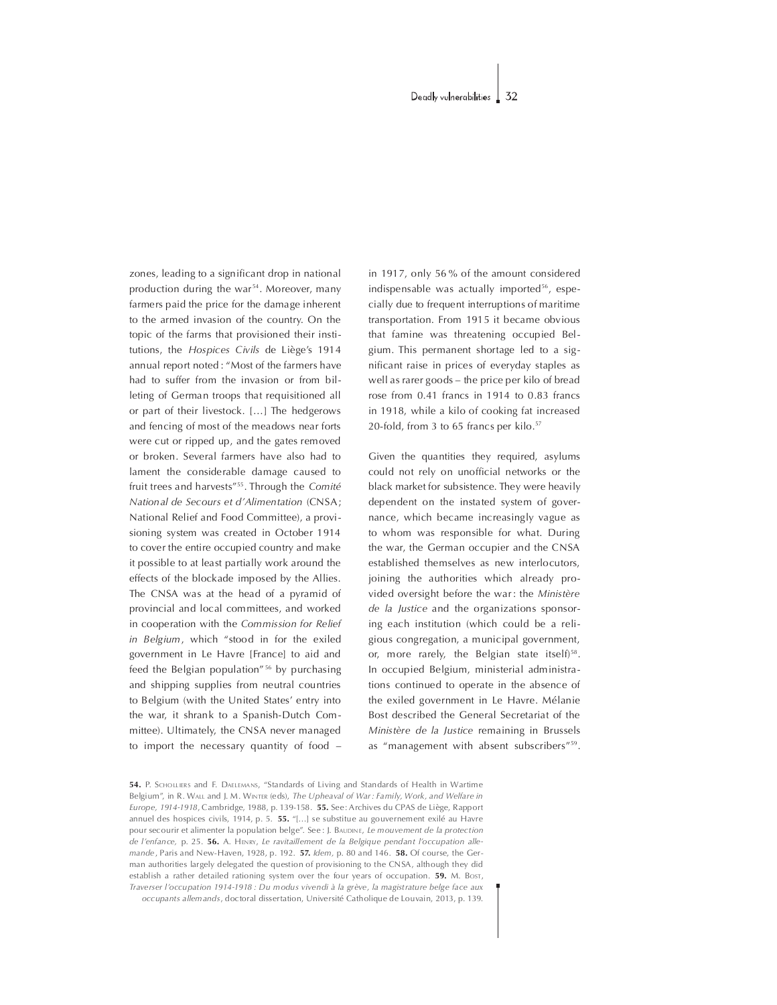zones, leading to a significant drop in national production during the war<sup>54</sup>. Moreover, many farmers paid the price for the damage inherent to the armed invasion of the country. On the topic of the farms that provisioned their institutions, the Hospices Civils de Liège's 1914 annual report noted : "Most of the farmers have had to suffer from the invasion or from billeting of German troops that requisitioned all or part of their livestock. [...] The hedgerows and fencing of most of the meadows near forts were cut or ripped up, and the gates removed or broken. Several farmers have also had to lament the considerable damage caused to fruit trees and harvests"<sup>55</sup>. Through the Comité National de Secours et d'Alimentation (CNSA; National Relief and Food Committee), a provisioning system was created in October 1914 to cover the entire occupied country and make it possible to at least partially work around the effects of the blockade imposed by the Allies. The CNSA was at the head of a pyramid of provincial and local committees, and worked in cooperation with the Commission for Relief in Belgium, which "stood in for the exiled government in Le Havre [France] to aid and feed the Belgian population"<sup>56</sup> by purchasing and shipping supplies from neutral countries to Belgium (with the United States' entry into the war, it shrank to a Spanish-Dutch Committee). Ultimately, the CNSA never managed to import the necessary quantity of food

in 1917, only 56% of the amount considered indispensable was actually imported $56$ , especially due to frequent interruptions of maritime transportation. From 1915 it became obvious that famine was threatening occupied Belgium.This permanent shortage led to a significant raise in prices of everyday staples as well as rarer goods – the price per kilo of bread rose from 0.41 francs in 1914 to 0.83 francs in 1918, while a kilo of cooking fat increased 20-fold, from 3 to 65 francs per kilo.<sup>57</sup>

Given the quantities they required, asylums could not rely on unofficial networks or the black market for subsistence. They were heavily dependent on the instated system of governance, which became increasingly vague as to whom was responsible for what. During the war, the German occupier and the CNSA established themselves as new interlocutors, joining the authorities which already provided oversight before the war: the Ministère de la Justice and the organizations sponsoring each institution (which could be a religious congregation, a municipal government, or, more rarely, the Belgian state itself) $58$ . In occupied Belgium, ministerial administrations continued to operate in the absence of the exiled government in Le Havre. Mélanie Bost described the General Secretariat of the Ministère de la Justice remaining in Brussels as "management with absent subscribers"<sup>59</sup>.

<sup>54.</sup> P. SCHOLL ERS and F. DAELEMANS, "Standards of Living and Standards of Health in Wartime Belgium", in R. WALL and L. M. WINTER (eds), The Upheaval of War: Family, Work, and Welfare in Europe, 1914-1918, Cambridge, 1988, p. 139-158. 55. See: Archives du CPAS de Liège, Rapport annuel des hospices civils, 1914, p. 5.  $55.$  "[...] se substitue au gouvernement exilé au Havre pour secourir et alimenter la population belge". See : J. BAUDINE, Le mouvement de la protection de l'enfance, p. 25. 56. A. HENRY, Le ravitaillement de la Belgique pendant l'occupation allemande, Paris and New-Haven, 1928, p. 192. 57. Idem, p. 80 and 146. 58. Of course, the German authorities largely delegated the question of provisioning to the CNSA, although they did establish a rather detailed rationing system over the four years of occupation. **59.** M. Bost, Traverser l'occupation 1914-1918 : Du modus vivendi à la grève, la magistrature belge face aux occupants allemands,doctoraldissertation,UniversitéCatholiquedeLouvain,2013,p.139.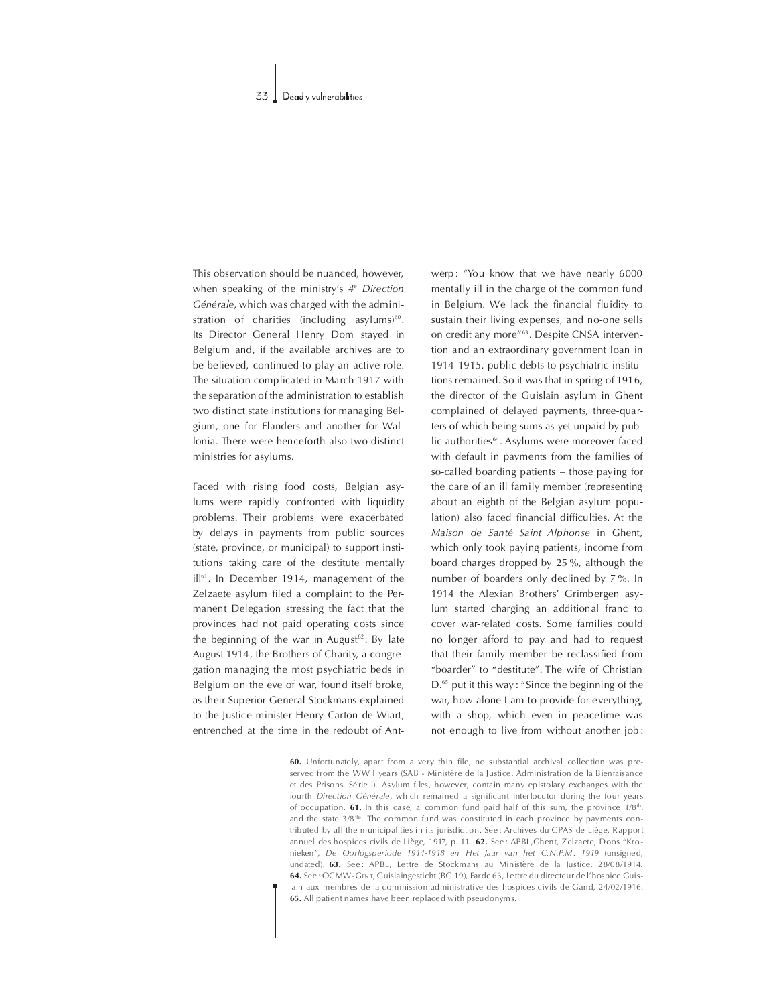This observation should be nuanced, however, when speaking of the ministry's  $4^e$  Direction Générale, which was charged with the administration of charities (including asylums) $60$ . Its Director General Henry Dom stayed in Belgium and, if the available archives are to be believed, continued to play an active role. The situation complicated in March 1917 with the separation of the administration to establish two distinct state institutions for managing Belgium, one for Flanders and another for Wallonia. There were henceforth also two distinct ministries for asylums.

Faced with rising food costs, Belgian asylums were rapidly confronted with liquidity problems. Their problems were exacerbated by delays in payments from public sources (state, province, or municipal) to support institutions taking care of the destitute mentally ill<sup>61</sup>. In December 1914, management of the Zelzaete asylum filed a complaint to the Permanent Delegation stressing the fact that the provinces had not paid operating costs since the beginning of the war in August<sup>62</sup>. By late August 1914, the Brothers of Charity, a congregation managing the most psychiatric beds in Belgium on the eve of war, found itself broke, as their Superior General Stockmans explained to the Justice minister Henry Carton de Wiart, entrenched at the time in the redoubt of Antwerp: "You know that we have nearly 6000 mentally ill in the charge of the common fund in Belgium. We lack the financial fluidity to sustain their living expenses, and no-one sells on credit any more"<sup>63</sup>. Despite CNSA intervention and an extraordinary government loan in 1914-1915, public debts to psychiatric institutions remained. So it was that in spring of 1916, the director of the Guislain asylum in Ghent complained of delayed payments, three-quarters of which being sums as yet unpaid by public authorities<sup>64</sup>. Asylums were moreover faced with default in payments from the families of so-called boarding patients  $-$  those paying for the care of an ill family member (representing about an eighth of the Belgian asylum population) also faced financial difficulties. At the Maison de Santé Saint Alphonse in Ghent, which only took paying patients, income from board charges dropped by  $25\%$ , although the number of boarders only declined by 7%. In 1914 the Alexian Brothers' Grimbergen asylum started charging an additional franc to cover war-related costs. Some families could no longer afford to pay and had to request that their family member be reclassified from "boarder" to "destitute". The wife of Christian D.<sup>65</sup> put it this way : "Since the beginning of the war, how alone I am to provide for everything, with a shop, which even in peacetime was not enough to live from without another job:

60. Unfortunately, apart from a very thin file, no substantial archival collection was preserved from the WW I years (SAB - Ministère de la Justice. Administration de la Bienfaisance et des Prisons. Série I). Asylum files, however, contain many epistolary exchanges with the fourth Direction Générale, which remained a significant interlocutor during the four years of occupation. 61. In this case, a common fund paid half of this sum, the province  $1/8^{\text{th}}$ , and the state  $3/8$ <sup>ths</sup>. The common fund was constituted in each province by payments contributed by all the municipalities in its jurisdiction. See: Archives du CPAS de Liège, Rapport annuel des hospices civils de Liège, 1917, p. 11. 62. See: APBL,Ghent, Zelzaete, Doos "Kronieken", De Oorlogsperiode 1914-1918 en Het Jaar van het C.N.P.M. 1919 (unsigned, undated). 63. See: APBL, Lettre de Stockmans au Ministère de la Justice, 28/08/1914. 64. See : OCMW-GENT, Guislaingesticht (BG 19), Farde 63, Lettre du directeur de l'hospice Guislain aux membres de la commission administrative des hospices civils de Gand, 24/02/1916. 65. All patient names have been replaced with pseudonyms.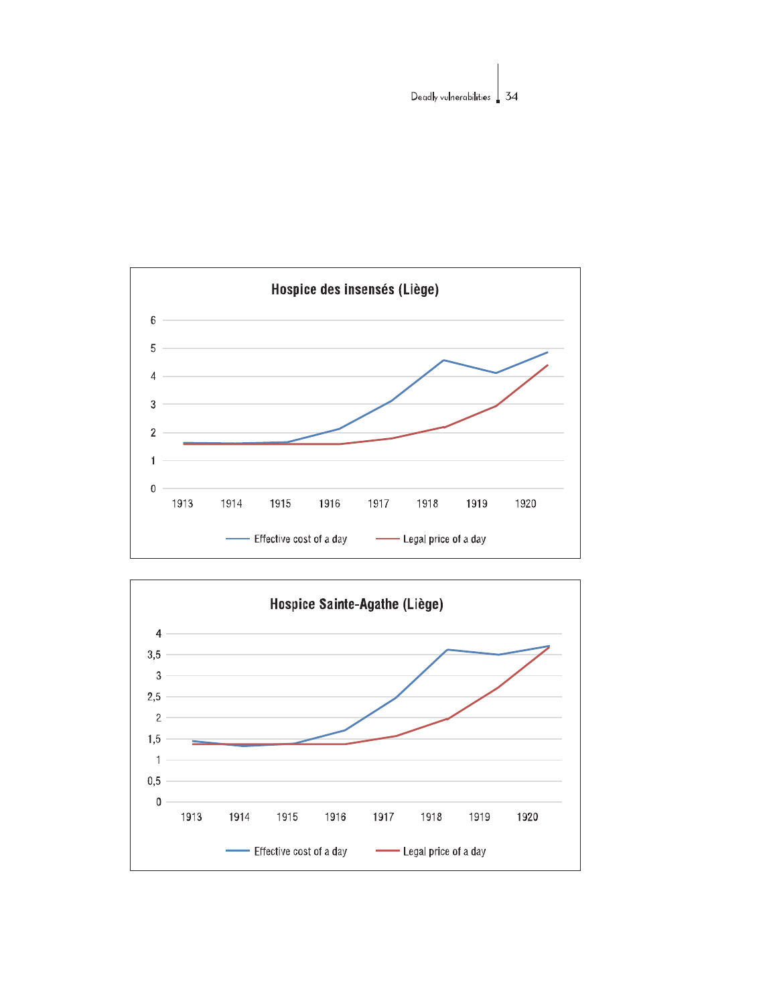

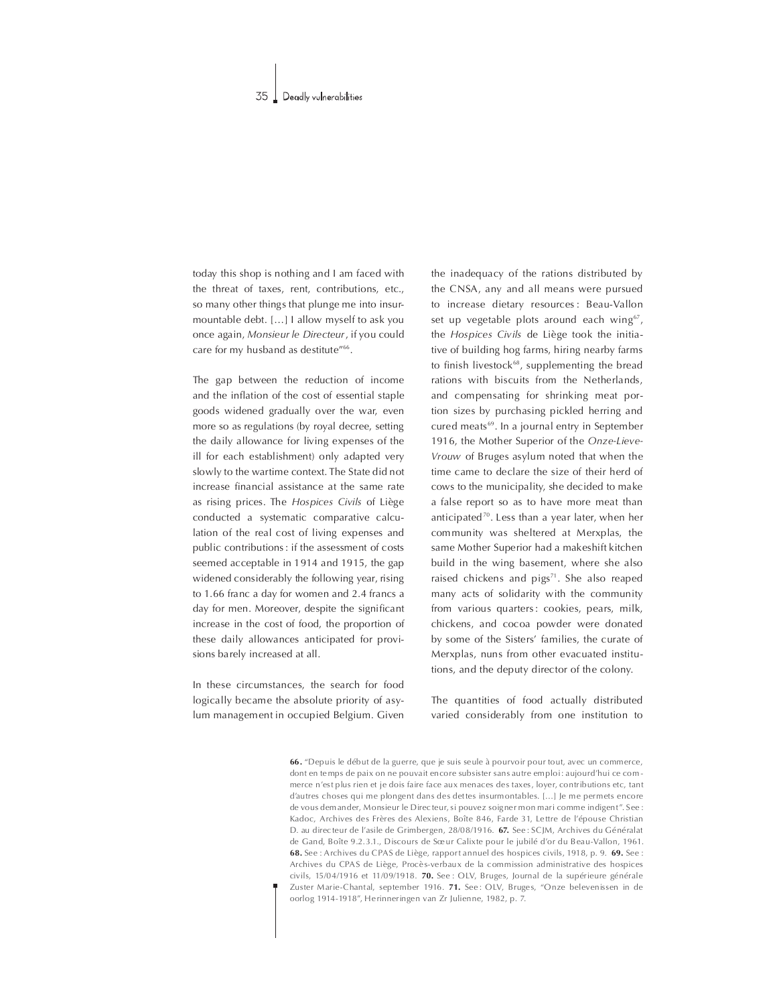today this shop is nothing and I am faced with the threat of taxes, rent, contributions, etc., so many other things that plunge me into insurmountable debt. [...] I allow myself to ask you once again, Monsieur le Directeur, if you could care for my husband as destitute"<sup>66</sup>.

The gap between the reduction of income and the inflation of the cost of essential staple goods widened gradually over the war, even more so as regulations (by royal decree, setting the daily allowance for living expenses of the ill for each establishment) only adapted very slowly to the wartime context. The State did not increase financial assistance at the same rate as rising prices. The Hospices Civils of Liège conducted a systematic comparative calculation of the real cost of living expenses and public contributions: if the assessment of costs seemed acceptable in 1914 and 1915, the gap widened considerably the following year, rising to 1.66 franc a day for women and 2.4 francs a day for men. Moreover, despite the significant increase in the cost of food, the proportion of these daily allowances anticipated for provisions barely increased at all.

In these circumstances, the search for food logically became the absolute priority of asylum management in occupied Belgium. Given the inadequacy of the rations distributed by the CNSA, any and all means were pursued to increase dietary resources : Beau-Vallon set up vegetable plots around each wing $67$ , the Hospices Civils de Liège took the initiative of building hog farms, hiring nearby farms to finish livestock<sup>68</sup>, supplementing the bread rations with biscuits from the Netherlands, and compensating for shrinking meat portion sizes by purchasing pickled herring and cured meats<sup>69</sup>. In a journal entry in September 1916, the Mother Superior of the Onze-Lieve-Vrouw of Bruges asylum noted that when the time came to declare the size of their herd of cows to the municipality, she decided to make a false report so as to have more meat than anticipated<sup>70</sup>. Less than a year later, when her community was sheltered at Merxplas, the same Mother Superior had a makeshift kitchen build in the wing basement, where she also raised chickens and pigs<sup>71</sup>. She also reaped many acts of solidarity with the community from various quarters: cookies, pears, milk, chickens, and cocoa powder were donated by some of the Sisters' families, the curate of Merxplas, nuns from other evacuated institutions, and the deputy director of the colony.

The quantities of food actually distributed varied considerably from one institution to

66. "Depuis le début de la guerre, que je suis seule à pourvoir pour tout, avec un commerce, dont en temps de paix on ne pouvait encore subsister sans autre emploi: aujourd'hui ce com merce n'est plus rien et je dois faire face aux menaces des taxes, loyer, contributions etc, tant d'autres choses qui me plongent dans des dettes insurmontables. [...] Je me permets encore de vous dem ander, Monsieur le Direc teur, si pouvez soigner mon mari comme indigent". See : Kadoc, Archives des Frères des Alexiens, Boîte 846, Farde 31, Lettre de l'épouse Christian D. au direc teur de l'asile de Grimbergen, 28/08/1916. 67. See : SCJM, Archives du Généralat de Gand, Boîte 9.2. 3.1., Discours de Sœur Calixte pour le jubilé d'or du Beau-Vallon, 1961. 68. See : Archives du CPAS de Liège, rapportannuel des hospices civils, 1918, p. 9. 69. See : Archives du CPAS de Liège, Procès-verbaux de la commission administrative des hospices civils. 15/04/1916 et 11/09/1918. 70. See : OLV, Bruges, Journal de la supérieure générale Zuster Marie-Chantal, september 1916. 71. See: OLV, Bruges, "Onze belevenissen in de oorlog 1914-1918". Herinneringen van Zr Julienne, 1982, p. 7.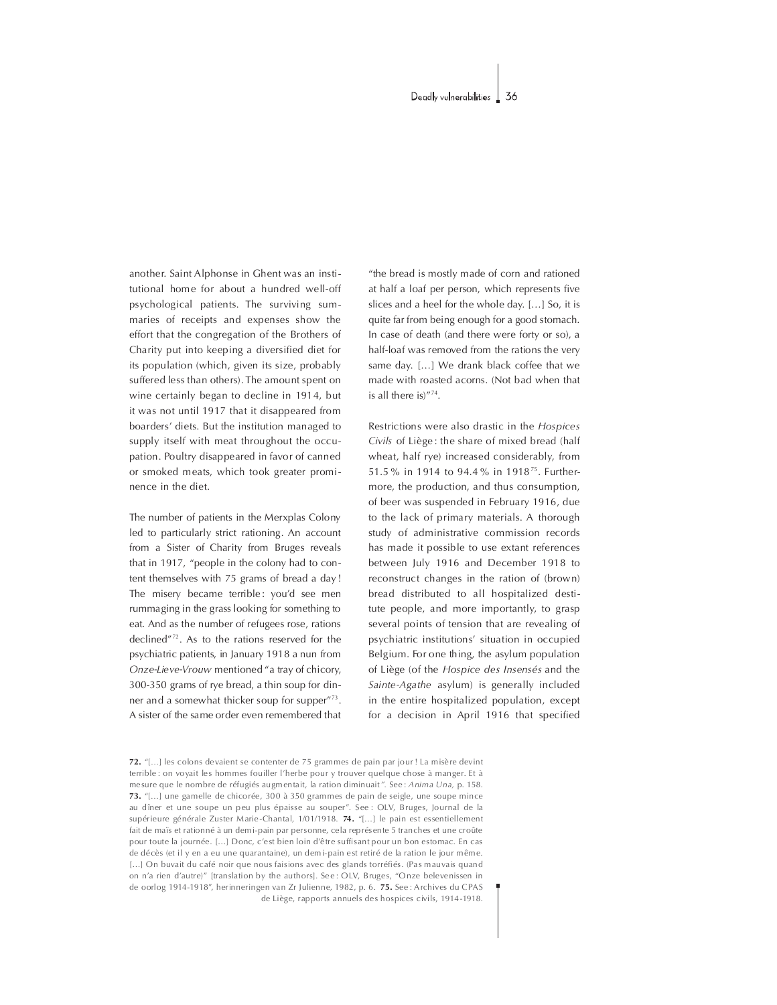another. Saint Alphonse in Ghent was an institutional home for about a hundred well-off psychological patients. The surviving summaries of receipts and expenses show the effort that the congregation of the Brothers of Charity put into keeping a diversified diet for its population (which, given its size, probably suffered less than others). The amount spent on wine certainly began to decline in 1914, but it was not until 1917 that it disappeared from boarders' diets. But the institution managed to supply itself with meat throughout the occupation. Poultry disappeared in favor of canned or smoked meats, which took greater prominence in the diet.

The number of patients in the Merxplas Colony led to particularly strict rationing. An account from a Sister of Charity from Bruges reveals that in 1917, "people in the colony had to content themselves with 75 grams of bread a day ! The misery became terrible: you'd see men rummaging in the grass looking for something to eat. And as the number of refugees rose, rations declined" $72$ . As to the rations reserved for the psychiatric patients, in January 1918 a nun from Onze-Lieve-Vrouw mentioned "a tray of chicory, 300-350 grams of rye bread, a thin soup for dinner and a somewhat thicker soup for supper"<sup>73</sup>. A sister of the same order even remembered that

"the bread is mostly made of corn and rationed at half a loaf per person, which represents five slices and a heel for the whole day.  $[...]$  So, it is quite far from being enough for a good stomach. In case of death (and there were forty or so), a half-loaf was removed from the rations the very same day. [...] We drank black coffee that we made with roasted acorns. (Not bad when that is all there  $is)^{n74}$ .

Restrictions were also drastic in the Hospices Civils of Liège : the share of mixed bread (half wheat, half rye) increased considerably, from 51.5% in 1914 to 94.4 % in 1918<sup>75</sup>. Furthermore, the production, and thus consumption, of beer was suspended in February 1916, due to the lack of primary materials. A thorough study of administrative commission records has made it possible to use extant references between July 1916 and December 1918 to reconstruct changes in the ration of (brown) bread distributed to all hospitalized destitute people, and more importantly, to grasp several points of tension that are revealing of psychiatric institutions' situation in occupied Belgium. For one thing, the asylum population of Liège (of the Hospice des Insensés and the Sainte-Agathe asylum) is generally included in the entire hospitalized population, except for a decision in April 1916 that specified

72. "[...] les colons de vaient se contenter de 75 grammes de pain par jour ! La misère devint terrible : on voyait les hommes fouiller l'herbe pour y trouver quelque chose à manger. Et à me sure que le nombre de réfugiés augmentait, la ration diminuait". See : Anima Una, p. 158. 73. "[...] une gamelle de chicorée, 300 à 350 grammes de pain de seigle, une soupe mince au dîner et une soupe un peu plus épaisse au souper". See : OLV, Bruges, Journal de la supérieure générale Zuster Marie-Chantal, 1/01/1918. 74. "[...] le pain est essentiellement fait de maïs et rationné à un demi-pain par personne, cela représ ente 5 tranches et une croûte pour toute la journée. [...] Donc, c'est bien loin d'être suffisant pour un bon estomac. En cas de décès (et il y en a eu une quarantaine), un demi-pain est retiré de la ration le jour même. [...] On buvait du café noir que nous faisions avec des glands torréfiés. (Pas mauvais quand on n'a rien d'autre)" [translation by the authors]. See : OLV, Bruges, "Onze belevenissen in de oorlog 1914-1918", herinneringen van Zr Julienne, 1982, p. 6. 75. See : Archives du CPAS de Liège, rapports annuels des hospices civils, 1914 - 1918.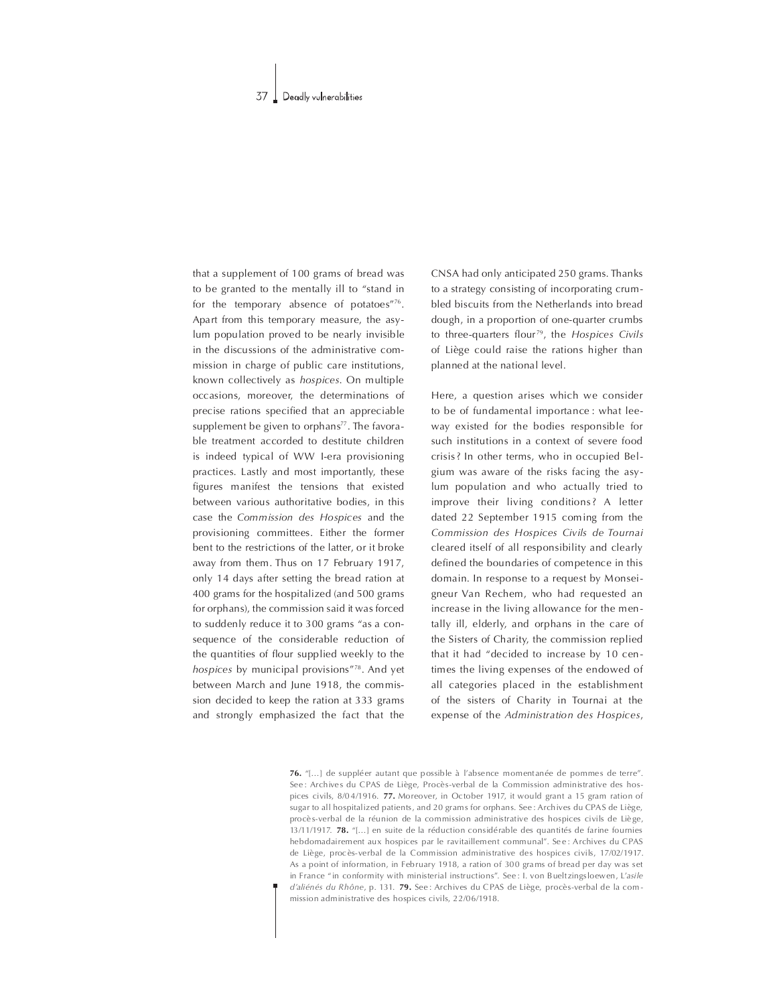that a supplement of 100 grams of bread was to be granted to the mentally ill to "stand in for the temporary absence of potatoes $176$ . Apart from this temporary measure, the asylum population proved to be nearly invisible in the discussions of the administrative commission in charge of public care institutions, known collectively as *hospices*. On multiple occasions, moreover, the determinations of precise rations specified that an appreciable supplement be given to orphans $77$ . The favorable treatment accorded to destitute children is indeed typical of WW I-era provisioning practices. Lastly and most importantly, these figures manifest the tensions that existed between various authoritative bodies, in this case the Commission des Hospices and the provisioning committees. Either the former bent to the restrictions of the latter, or it broke away from them. Thus on 17 February 1917, only 14 days after setting the bread ration at 400 grams for the hospitalized (and 500 grams) for orphans), the commission said it was forced to suddenly reduce it to 300 grams "as a consequence of the considerable reduction of the quantities of flour supplied weekly to the hospices by municipal provisions"78. And yet between March and June 1918, the commission decided to keep the ration at 333 grams and strongly emphasized the fact that the

CNSAhadonlyanticipated250grams.Thanks to a strategy consisting of incorporating crumbled biscuits from the Netherlands into bread dough, in a proportion of one-quarter crumbs to three-quarters flour<sup>79</sup>, the Hospices Civils of Liège could raise the rations higher than planned at the national level.

Here, a question arises which we consider to be of fundamental importance : what leeway existed for the bodies responsible for such institutions in a context of severe food crisis? In other terms, who in occupied Belgium was aware of the risks facing the asylum population and who actually tried to improve their living conditions? A letter dated 22 September 1915 coming from the Commission des Hospices Civils de Tournai cleared itself of all responsibility and clearly defined the boundaries of competence in this domain. In response to a request by Monseigneur Van Rechem, who had requested an increase in the living allowance for the mentally ill, elderly, and orphans in the care of the Sisters of Charity, the commission replied that it had "decided to increase by 10 centimes the living expenses of the endowed of all categories placed in the establishment of the sisters of Charity in Tournai at the expense of the Administration des Hospices,

76. "[...] de suppléer autant que possible à l'absence momentanée de pommes de terre". See : Archives du CPAS de Liège, Procès-verbal de la Commission administrative des hospices civils, 8/0 4/1916. 77. Moreover, in October 1917, it would grant a 15 gram ration of sugar to all hospitalized patients, and 20 grams for orphans. See : Archives du CPAS de Liège, procè s-verbal de la réunion de la commission administrative des hospices civils de Liège, 13/11/1917. 78. "[...] en suite de la réduction considérable des quantités de farine fournies hebdomadairem ent aux hospices par le ravitaillem ent communal". Se e : Archives du CPAS de Liège, procès-verbal de la Commission administrative des hospices civils, 17/02/1917. As a point of information, in February 1918, a ration of 300 grams of bread per day was set in France "in conformity with ministerial instructions". See: I. von Bueltzingsloewen, L'asile d'aliénés du Rhône, p. 131. 79. See : Archives du CPAS de Liège, procès-verbal de la commission administrative des hospices civils, 22/06/1918.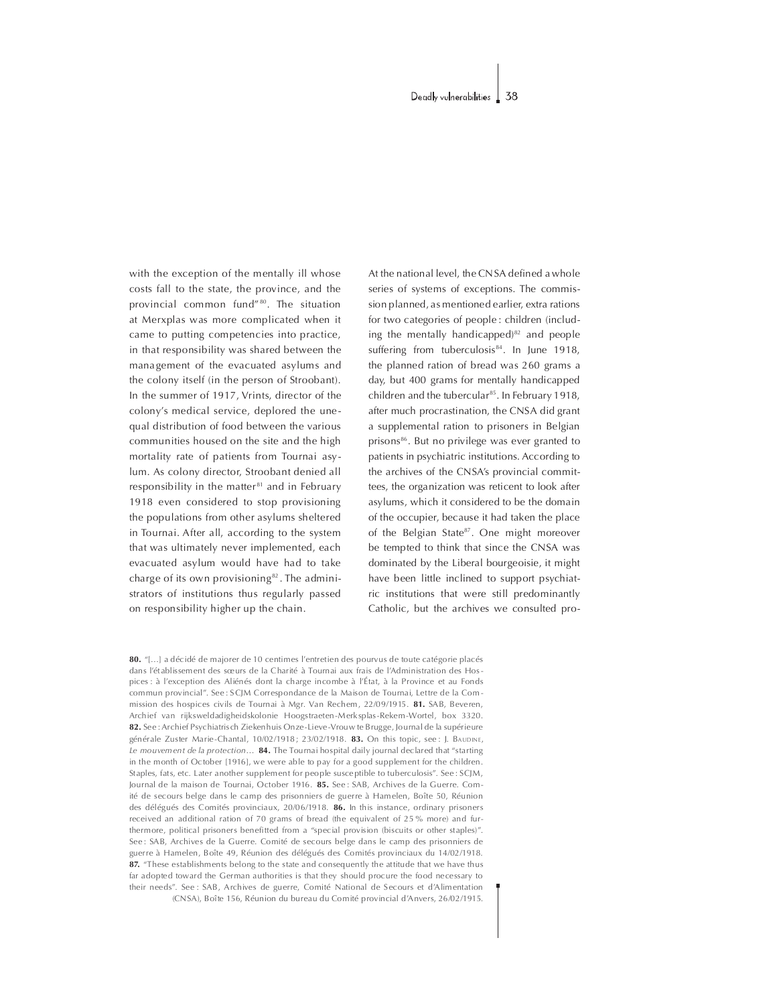with the exception of the mentally ill whose costs fall to the state, the province, and the provincial common fund"<sup>80</sup>. The situation at Merxplas was more complicated when it came to putting competencies into practice, in that responsibility was shared between the management of the evacuated asylums and the colony itself (in the person of Stroobant). In the summer of 1917, Vrints, director of the colony's medical service, deplored the unequal distribution of food between the various communities housed on the site and the high mortality rate of patients from Tournai asylum. As colony director, Stroobant denied all responsibility in the matter<sup>81</sup> and in February 1918 even considered to stop provisioning the populations from other asylums sheltered in Tournai. After all, according to the system that was ultimately never implemented, each evacuated asylum would have had to take charge of its own provisioning<sup>82</sup>. The administrators of institutions thus regularly passed on responsibility higher up the chain.

At the national level, the CN SA defined a whole series of systems of exceptions. The commission planned, as mentioned earlier, extra rations for two categories of people: children (including the mentally handicapped $6^{82}$  and people suffering from tuberculosis<sup>84</sup>. In June 1918, the planned ration of bread was 260 grams a day, but 400 grams for mentally handicapped children and the tubercular<sup>85</sup>. In February 1918, after much procrastination, the CNSA did grant a supplemental ration to prisoners in Belgian prisons<sup>86</sup>. But no privilege was ever granted to patients in psychiatric institutions. According to the archives of the CNSA's provincial committees, the organization was reticent to look after asylums, which it considered to be the domain of the occupier, because it had taken the place of the Belgian State<sup>87</sup>. One might moreover be tempted to think that since the CNSA was dominated by the Liberal bourgeoisie, it might have been little inclined to support psychiatric institutions that were still predominantly Catholic, but the archives we consulted pro-

80. "[...] a décidé de majorer de 10 centimes l'entretien des pourvus de toute catégorie placés dans l'établissem ent des sœurs de la Charité à Tournai aux frais de l'Administration des Hospices : à l'exception des Aliénés dont la charge incombe à l'État, à la Province et au Fonds commun provincial". See : SCJM Correspondance de la Maison de Tournai, Lettre de la Commission des hospices civils de Tournai à Mgr. Van Rechem, 22/09/1915. 81. SAB, Beveren, Archief van rijksweldadigheidskolonie Hoogstraeten-Merksplas-Rekem-Wortel, box 3320. 82. See : Archief Psychiatris ch Ziekenhuis Onze-Lieve-Vrouw te Brugge, Journal de la supérieure générale Zuster Marie-Chantal,  $10/02/1918$ ;  $23/02/1918$ . 83. On this topic, see : I. BAUDINE. Le mouvement de la protection... **84.** The Tournai hospital daily journal declared that "starting in the month of October [1916], we were able to pay for a good supplement for the children. Staples, fats, etc. Later another supplem ent for people susce ptible to tuberculosis". See : SCJM, Journal de la maison de Tournai, October 1916. 85. See: SAB, Archives de la Guerre. Comité de secours belge dans le camp des prisonniers de guerre à Hamelen, Boîte 50, Réunion des délégués des Comités provinciaux, 20/06/1918. 86. In this instance, ordinary prisoners received an additional ration of 70 grams of bread (the equivalent of 25 % more) and furthermore, political prisoners benefitted from a "special provision (biscuits or other staples)". See : SAB, Archives de la Guerre. Comité de secours belge dans le camp des prisonniers de guerre à Hamelen, Boîte 49, Réunion des délégués des Comités provinciaux du 14/02/1918. 87. "These establishments belong to the state and consequently the attitude that we have thus far adopted toward the German authorities is that they should procure the food necessary to their needs". See : SAB, Archives de guerre, Comité National de Secours et d'Alimentation (CNSA),Boîte156,RéuniondubureauduComitép rovincialdAnvers,26/02/1915.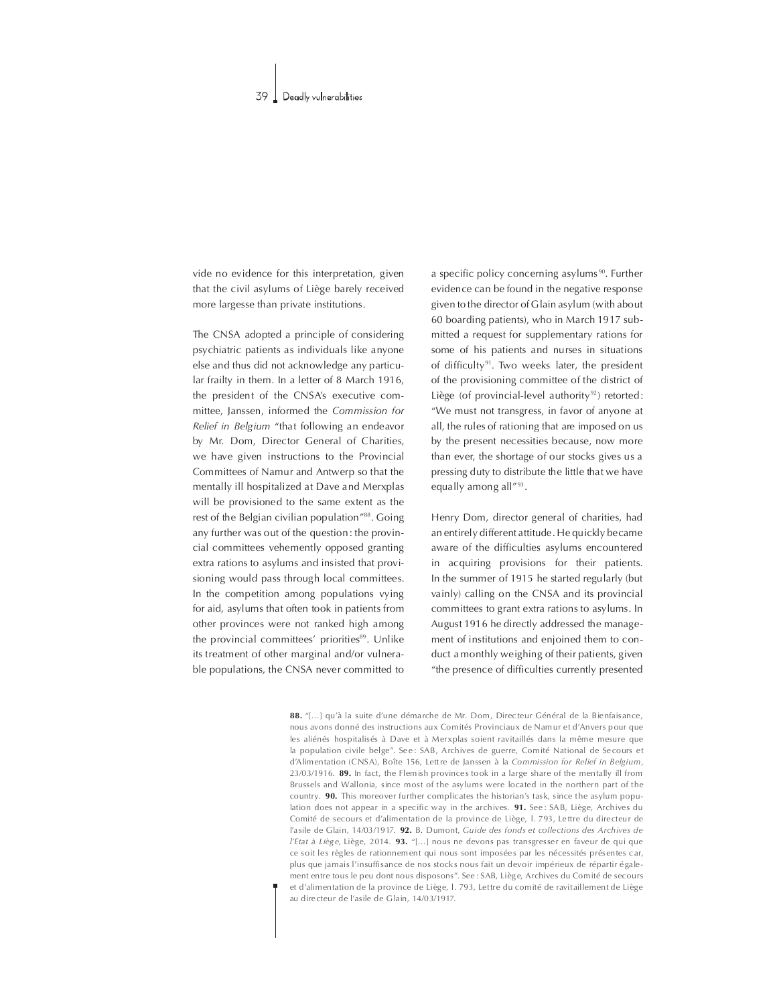vide no evidence for this interpretation, given that the civil asylums of Liège barely received more largesse than private institutions.

The CNSA adopted a principle of considering psychiatric patients as individuals like anyone else and thus did not acknowledge any particular frailty in them. In a letter of 8 March 1916, the president of the CNSA's executive committee, Janssen, informed the Commission for Relief in Belgium "that following an endeavor by Mr. Dom, Director General of Charities, we have given instructions to the Provincial Committees of Namur and Antwerp so that the mentally ill hospitalized at Dave and Merxplas will be provisioned to the same extent as the rest of the Belgian civilian population"88. Going any further was out of the question: the provincial committees vehemently opposed granting extra rations to asylums and insisted that provisioning would pass through local committees. In the competition among populations vying for aid, asylums that often took in patients from other provinces were not ranked high among the provincial committees' priorities<sup>89</sup>. Unlike its treatment of other marginal and/or vulnerable populations, the CNSA never committed to

a specific policy concerning asylums<sup>90</sup>. Further evidence can be found in the negative response given to the director of Glain asylum (with about 60 boarding patients), who in March 1917 submitted a request for supplementary rations for some of his patients and nurses in situations of difficulty<sup>91</sup>. Two weeks later, the president of the provisioning committee of the district of Liège (of provincial-level authority<sup>92</sup>) retorted: "We must not transgress, in favor of anyone at all, the rules of rationing that are imposed on us by the present necessities because, now more than ever, the shortage of our stocks gives us a pressing duty to distribute the little that we have equally among all"93.

Henry Dom, director general of charities, had an entirely different attitude. He quickly became aware of the difficulties asylums encountered in acquiring provisions for their patients. In the summer of 1915 he started regularly (but vainly) calling on the CNSA and its provincial committees to grant extra rations to asylums. In August 1916 he directly addressed the management of institutions and enjoined them to conduct a monthly weighing of their patients, given "the presence of difficulties currently presented

88. "[...] qu'à la suite d'une démarche de Mr. Dom, Directeur Général de la Bienfaisance, nous avons donné des instructions aux Comités Provinciaux de Namur et d'Anvers pour que les aliénés hospitalisés à Dave et à Merxplas soient ravitaillés dans la même mesure que la population civile belge". See: SAB, Archives de guerre, Comité National de Secours et d'Alimentation (CNSA). Boîte 156, Lettre de Janssen à la Commission for Relief in Belgium. 23/03/1916. 89. In fact, the Flemish provinces took in a large share of the mentally ill from Brussels and Wallonia, since most of the asylums were located in the northern part of the country. 90. This moreover further complicates the historian's task, since the asylum population does not appear in a specific way in the archives. 91. See: SAB, Liège, Archives du Comité de secours et d'alimentation de la province de Liège, I. 793, Lettre du directeur de l'asile de Glain, 14/03/1917. 92. B. Dumont, Guide des fonds et collections des Archives de *l'Etat à Liège*, Liège, 2014. **93.** "[...] nous ne devons pas transgresser en faveur de qui que ce soit les règles de rationnement qui nous sont imposées par les nécessités présentes car, plus que jamais l'insuffisance de nos stocks nous fait un devoir impérieux de répartir également entre tous le peu dont nous disposons". See : SAB, Liège, Archives du Comité de secours et d'alimentation de la province de Liège, l. 793, Lettre du comité de ravitaillement de Liège au directeur de l'asile de Glain, 14/03/1917.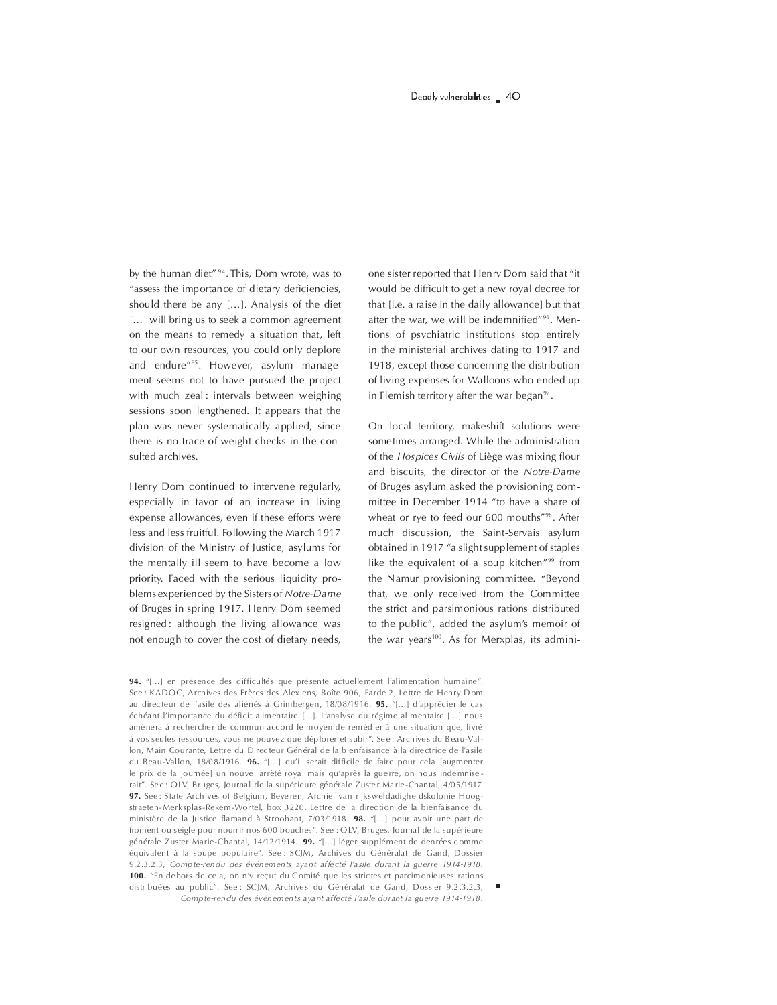by the human diet"<sup>94</sup>. This, Dom wrote, was to "assess the importance of dietary deficiencies, should there be any  $[...]$ . Analysis of the diet [...] will bring us to seek a common agreement on the means to remedy a situation that, left to our own resources, you could only deplore and endure<sup>"95</sup>. However, asylum management seems not to have pursued the project with much zeal: intervals between weighing sessions soon lengthened. It appears that the plan was never systematically applied, since there is no trace of weight checks in the consulted archives.

Henry Dom continued to intervene regularly, especially in favor of an increase in living expense allowances, even if these efforts were less and less fruitful. Following the March 1917 division of the Ministry of Justice, asylums for the mentally ill seem to have become a low priority. Faced with the serious liquidity problems experienced by the Sisters of Notre-Dame of Bruges in spring 1917, Henry Dom seemed resigned : although the living allowance was not enough to cover the cost of dietary needs, one sister reported that Henry Dom said that "it would be difficult to get a new royal decree for that *[i.e.* a raise in the daily allowance] but that after the war, we will be indemnified"<sup>96</sup>. Mentions of psychiatric institutions stop entirely in the ministerial archives dating to 1917 and 1918, except those concerning the distribution of living expenses for Walloons who ended up in Flemish territory after the war began $97$ .

On local territory, makeshift solutions were sometimes arranged. While the administration of the Hospices Civils of Liège was mixing flour and biscuits, the director of the Notre-Dame of Bruges asylum asked the provisioning committee in December 1914 "to have a share of wheat or rye to feed our 600 mouths"<sup>98</sup>. After much discussion, the Saint-Servais asylum obtained in 1917 "a slight supplement of staples like the equivalent of a soup kitchen $\frac{999}{9}$  from the Namur provisioning committee. "Beyond that, we only received from the Committee the strict and parsimonious rations distributed to the public", added the asylum's memoir of the war years<sup>100</sup>. As for Merxplas, its admini-

94. "[...] en présence des difficultés que présente actuellement l'alimentation humaine". See : KADOC, Archives des Frères des Alexiens, Boîte 906, Farde 2, Lettre de Henry Dom au directeur de l'asile des aliénés à Grimbergen,  $18/08/1916$ . **95.** "[...] d'apprécier le cas échéant l'importance du déficit alimentaire [...]. L'analyse du régime alimentaire [...] nous amènera à rechercher de commun accord le moyen de remédier à une situation que, livré à vos seules ressources, vous ne pouvez que déplorer et subir". Se e : Archives du Beau-Vallon, Main Courante, Lettre du Directeur Général de la bienfaisance à la directrice de l'asile du Beau-Vallon, 18/08/1916. 96. "[...] qu'il serait difficile de faire pour cela [augmenter le prix de la journée] un nouvel arrêté royal mais qu'après la guerre, on nous indemnise rait". Se e : OLV, Bruges, Journal de la supérieure générale Zuster Ma rie-Chantal, 4/05/1917. 97. See: State Archives of Belgium, Beveren, Archief van rijksweldadigheidskolonie Hoogstraeten-Merk splas-Rekem -Wortel, box 3220, Lettre de la direc tion de la bienfaisance du ministère de la Justice flamand à Stroobant, 7/03/1918. **98.** "[...] pour avoir une part de froment ou seigle pour nourrir nos 600 bouches". See : OLV, Bruges, Journal de la supérieure générale Zuster Marie-Chantal, 14/12/1914. 99. "[...] léger supplément de denrées comme équivalent à la soupe populaire". See : SCJM, Archives du Généralat de Gand, Dossier 9.2.3.2.3, Compte-rendu des événements ayant af fecté l'asile durant la guerre 1914-1918. 100. "En dehors de cela, on n'y reçut du Comité que les strictes et parcimonie uses rations distribuées au public". See : SCJM, Archives du Généralat de Gand, Dossier 9.2.3.2.3, Compte-rendu des événements ayant affecté l'asile durant la guerre 1914-1918.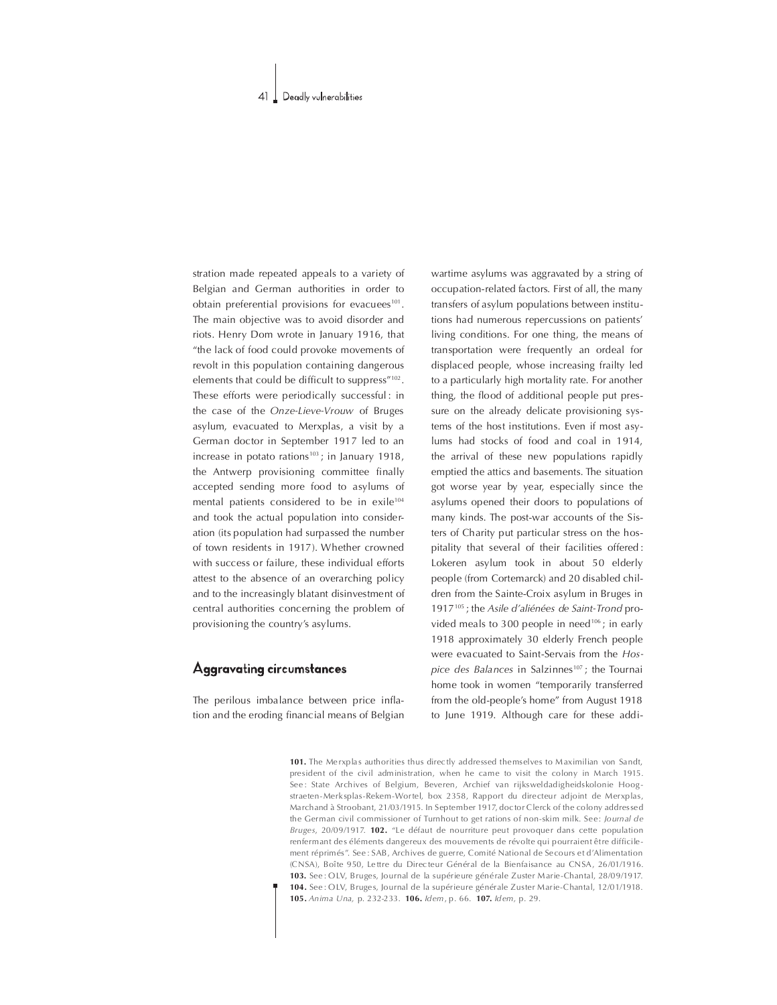stration made repeated appeals to a variety of Belgian and German authorities in order to obtain preferential provisions for evacuees $101$ . The main objective was to avoid disorder and riots. Henry Dom wrote in January 1916, that "the lack of food could provoke movements of revolt in this population containing dangerous elements that could be difficult to suppress"<sup>102</sup>. These efforts were periodically successful : in the case of the Onze-Lieve-Vrouw of Bruges asylum, evacuated to Merxplas, a visit by a German doctor in September 1917 led to an increase in potato rations<sup>103</sup>; in January 1918, the Antwerp provisioning committee finally accepted sending more food to asylums of mental patients considered to be in exile<sup>104</sup> and took the actual population into consideration (its population had surpassed the number of town residents in 1917). Whether crowned with success or failure, these individual efforts attest to the absence of an overarching policy and to the increasingly blatant disinvestment of central authorities concerning the problem of provisioning the country's asylums.

# Aggravating circumstances

The perilous imbalance between price inflation and the eroding financial means of Belgian wartime asylums was aggravated by a string of occupation-related factors. First of all, the many transfers of asylum populations between institutions had numerous repercussions on patients' living conditions. For one thing, the means of transportation were frequently an ordeal for displaced people, whose increasing frailty led to a particularly high mortality rate. For another thing, the flood of additional people put pressure on the already delicate provisioning systems of the host institutions. Even if most asylums had stocks of food and coal in 1914, the arrival of these new populations rapidly emptied the attics and basements. The situation got worse year by year, especially since the asylums opened their doors to populations of many kinds. The post-war accounts of the Sisters of Charity put particular stress on the hospitality that several of their facilities offered : Lokeren asylum took in about 50 elderly people (from Cortemarck) and 20 disabled children from the Sainte-Croix asylum in Bruges in 1917<sup>105</sup>; the Asile d'aliénées de Saint-Trond provided meals to 300 people in need<sup>106</sup>; in early 1918 approximately 30 elderly French people were evacuated to Saint-Servais from the Hospice des Balances in Salzinnes<sup>107</sup>; the Tournai home took in women "temporarily transferred from the old-people's home" from August 1918 to June 1919. Although care for these addi-

101. The Merxplas authorities thus directly addressed themselves to Maximilian von Sandt, president of the civil administration, when he came to visit the colony in March 1915. See : State Archives of Belgium, Beveren, Archief van rijksweldadigheidskolonie Hoogstraeten-Merk splas-Rekem-Wortel, box 2358, Rapport du directeur adjoint de Merxplas, Marchand à Stroobant, 21/03/1915. In September 1917, doctor Clerck of the colony addressed the German civil commissioner of Turnhout to get rations of non-skim milk. See: Journal de Bruges, 20/09/1917. 102. "Le défaut de nourriture peut provoquer dans cette population renfermant des éléments dangereux des mouvements de révolte qui pourraient être difficilement réprimés". See : SAB, Archives de guerre, Comité National de Se cours et d'Alimentation (CNSA), Boîte 950, Lettre du Directeur Général de la Bienfaisance au CNSA, 26/01/1916. 103. See : O LV, Bruges, Journal de la supérieure générale Zuster Marie-Chantal, 28/09/1917. 104. See : OLV, Bruges, Journal de la supérieure générale Zuster Marie-Chantal, 12/01/1918. 105. Anima Una, p.232-233. 106. Idem,p.66. 107. Idem,p.29.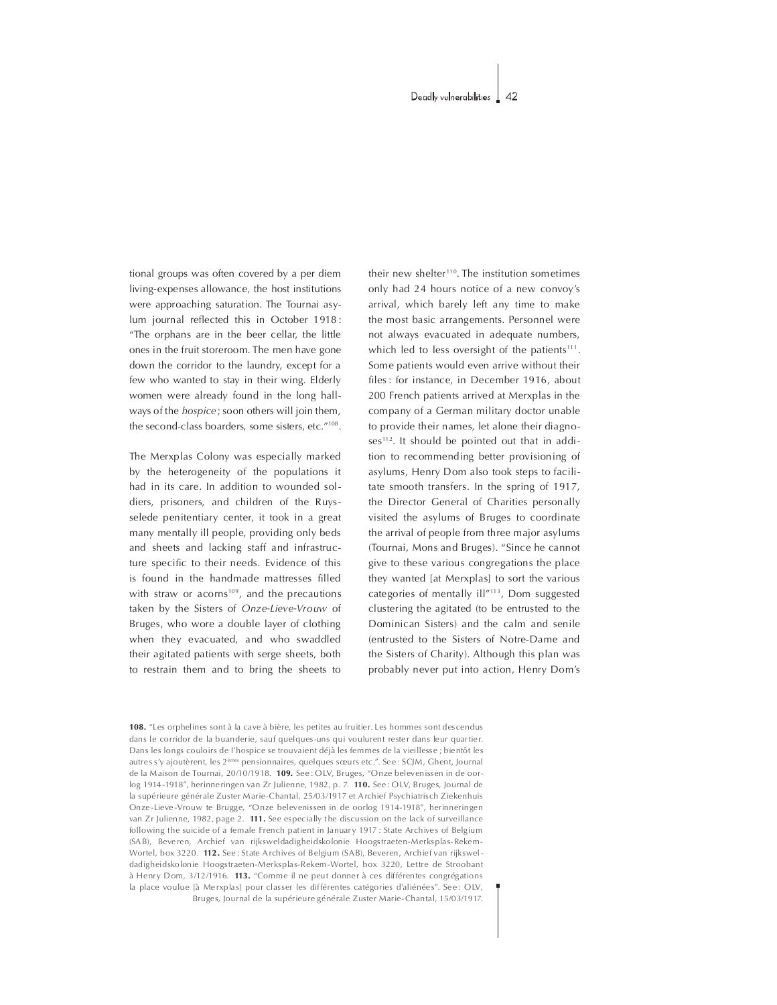tional groups was often covered by a per diem living-expenses allowance, the host institutions were approaching saturation. The Tournai asylum journal reflected this in October 1918: The orphans are in the beer cellar, the little ones in the fruit storeroom. The men have gone down the corridor to the laundry, except for a few who wanted to stay in their wing. Elderly women were already found in the long hallways of the *hospice* ; soon others will join them, the second-class boarders, some sisters, etc."<sup>108</sup>.

The Merxplas Colony was especially marked by the heterogeneity of the populations it had in its care. In addition to wounded soldiers, prisoners, and children of the Ruysselede penitentiary center, it took in a great many mentally ill people, providing only beds and sheets and lacking staff and infrastructure specific to their needs. Evidence of this is found in the handmade mattresses filled with straw or acorns<sup>109</sup>, and the precautions taken by the Sisters of Onze-Lieve-Vrouw of Bruges, who wore a double layer of clothing when they evacuated, and who swaddled their agitated patients with serge sheets, both to restrain them and to bring the sheets to

their new shelter<sup>110</sup>. The institution sometimes only had 24 hours notice of a new convoy's arrival, which barely left any time to make the most basic arrangements. Personnel were not always evacuated in adequate numbers, which led to less oversight of the patients $111$ . Some patients would even arrive without their files : for instance, in December 1916, about 200 French patients arrived at Merxplas in the company of a German military doctor unable to provide their names, let alone their diagnoses<sup>112</sup>. It should be pointed out that in addition to recommending better provisioning of asylums, Henry Dom also took steps to facilitate smooth transfers. In the spring of 1917, the Director General of Charities personally visited the asylums of Bruges to coordinate the arrival of people from three major asylums (Tournai, Mons and Bruges). "Since he cannot give to these various congregations the place they wanted [at Merxplas] to sort the various categories of mentally  $\mathrm{i}$ ll $\mathrm{i}$ <sup>113</sup>, Dom suggested clustering the agitated (to be entrusted to the Dominican Sisters) and the calm and senile (entrusted to the Sisters of Notre-Dame and the Sisters of Charity). Although this plan was probably never put into action, Henry Dom's

108. "Les orphelines sont à la cave à bière, les petites au fruitier. Les hommes sont des cendus dans le corridor de la buanderie, sauf quelques-uns qui voulurent rester dans leur quartier. Dans les longs couloirs de l'hospice se trouvaient déjà les femmes de la vieillesse ; bientôt les autres s'y ajoutèrent. les 2<sup>èmes</sup> pensionnaires, quelques sœurs etc..", Se e : SCIM, Ghent, Journal de la Maison de Tournai, 20/10/1918. 109. See : OLV, Bruges, "Onze belevenissen in de oorlog 1914 -1918", herinne ringen van ZrJulienne, 1982, p. 7. 110. See : O LV, Bruges, Journal de la supérieure générale Zuster Marie-Chantal, 25/03/1917 et Archief Psychiatris ch Ziekenhuis Onze-Lieve-Vrouw te Brugge, "Onze belevenissen in de oorlog 1914-1918", herinneringen van Zr Julienne, 1982, page 2. 111. See especially the discussion on the lack of surveillance following the suicide of a female French patient in January 1917 : State Archives of Belgium (SA B), Beve ren, A rchief van rijksweldadigheidskolonie Hoogstraeten-M erkspla s-Rekem - Wortel, box 3220. 112. See: State Archives of Belgium (SAB), Beveren, Archief van rijksweldadigheidskolonie Hoogstraeten-Merksplas-Rekem-Wortel, box 3220, Lettre de Stroobant à Henry Dom, 3/12/1916. 113. "Comme il ne peut donner à ces différentes congrégations la place voulue [à Merxplas] pour classer les différentes catégories d'aliénées". See: OLV, Bruges, Journal de la supérieure générale Zuster Marie-Chantal, 15/03/1917.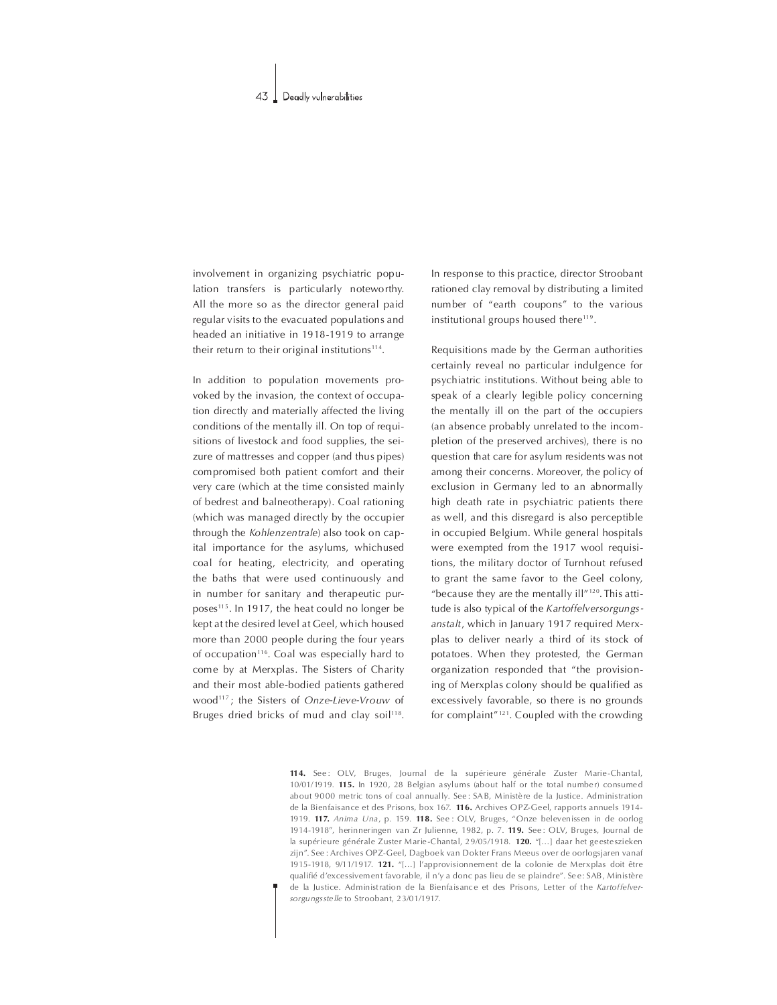involvement in organizing psychiatric population transfers is particularly noteworthy. All the more so as the director general paid regular visits to the evacuated populations and headed an initiative in 1918-1919 to arrange their return to their original institutions<sup>114</sup>.

In addition to population movements provoked by the invasion, the context of occupation directly and materially affected the living conditions of the mentally ill. On top of requisitions of livestock and food supplies, the seizure of mattresses and copper (and thus pipes) compromised both patient comfort and their very care (which at the time consisted mainly of bedrest and balneotherapy). Coal rationing (which was managed directly by the occupier through the Kohlenzentrale) also took on capital importance for the asylums, whichused coal for heating, electricity, and operating the baths that were used continuously and in number for sanitary and therapeutic purposes<sup>115</sup>. In 1917, the heat could no longer be kept at the desired level at Geel, which housed more than 2000 people during the four years of occupation<sup>116</sup>. Coal was especially hard to come by at Merxplas. The Sisters of Charity and their most able-bodied patients gathered wood<sup>117</sup>; the Sisters of Onze-Lieve-Vrouw of Bruges dried bricks of mud and clay soil<sup>118</sup>.

In response to this practice, director Stroobant rationed clay removal by distributing a limited number of "earth coupons" to the various institutional groups housed there<sup>119</sup>.

Requisitions made by the German authorities certainly reveal no particular indulgence for psychiatric institutions. Without being able to speak of a clearly legible policy concerning the mentally ill on the part of the occupiers (an absence probably unrelated to the incompletion of the preserved archives), there is no question that care for asylum residents was not among their concerns. Moreover, the policy of exclusion in Germany led to an abnormally high death rate in psychiatric patients there as well, and this disregard is also perceptible in occupied Belgium. While general hospitals were exempted from the 1917 wool requisitions, the military doctor of Turnhout refused to grant the same favor to the Geel colony, "because they are the mentally  $\mathrm{i}$ ll"<sup>120</sup>. This attitude is also typical of the Kartoffelversorgungsanstalt, which in January 1917 required Merxplas to deliver nearly a third of its stock of potatoes.When they protested, the German organization responded that "the provisioning of Merxplas colony should be qualified as excessively favorable, so there is no grounds for complaint" $121$ . Coupled with the crowding

114. See: OLV, Bruges, Journal de la supérieure générale Zuster Marie-Chantal,  $10/01/1919$ . 115. In 1920, 28 Belgian asylums (about half or the total number) consumed about 9000 metric tons of coal annually. See: SAB, Ministère de la Justice. Administration de la Bienfais ance et des Prisons, box 167. 116. Archives OPZ-Geel, rapports annuels 1914-1919. 117. Anima Una, p. 159. 118. See : OLV, Bruges, "Onze belevenissen in de oorlog 1914-1918", herinneringen van Zr Julienne, 1982, p. 7. 119. See: OLV, Bruges, Journal de la supérieure générale Zuster Marie-Chantal, 29/05/1918. 120. "[...] daar het geesteszieken zijn". See : Archives OPZ-Geel, Dagboek van Dokter Frans Meeus over de oorlogsjaren vanaf 1915-1918, 9/11/1917. 121. "[...] l'approvisionnement de la colonie de Merxplas doit être qualifié d'excessivem ent favorable, il n'y a donc pas lieu de se plaindre". Se e : SAB, Ministère de la Justice. Administration de la Bienfais ance et des Prisons, Letter of the Kartoffelversorgungsstelle to Stroobant, 23/01/1917.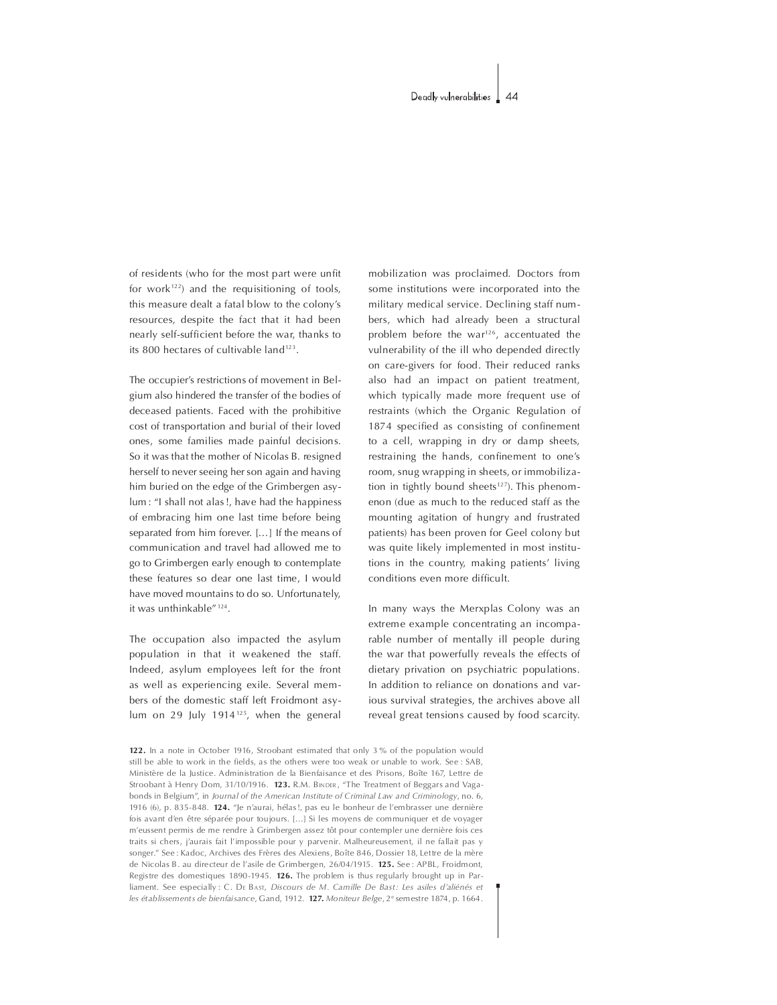of residents (who for the most part were unfit for work $122$ ) and the requisitioning of tools, this measure dealt a fatal blow to the colony's resources, despite the fact that it had been nearly self-sufficient before the war, thanks to its 800 hectares of cultivable land<sup>123</sup>.

The occupier's restrictions of movement in Belgium also hindered the transfer of the bodies of deceased patients. Faced with the prohibitive cost of transportation and burial of their loved ones, some families made painful decisions. So it was that the mother of Nicolas B. resigned herself to never seeing her son again and having him buried on the edge of the Grimbergen asylum : "I shall not alas!, have had the happiness of embracing him one last time before being separated from him forever. [...] If the means of communication and travel had allowed me to go to Grimbergen early enough to contemplate these features so dear one last time, Iwould have moved mountains to do so. Unfortunately, it was unthinkable"<sup>124</sup>.

The occupation also impacted the asylum population in that it weakened the staff. Indeed, asylum employees left for the front as well as experiencing exile. Several members of the domestic staff left Froidmont asylum on 29 July 1914<sup>125</sup>, when the general mobilization was proclaimed. Doctors from some institutions were incorporated into the military medical service. Declining staff numbers, which had already been a structural problem before the war<sup>126</sup>, accentuated the vulnerability of the ill who depended directly on care-givers for food. Their reduced ranks also had an impact on patient treatment, which typically made more frequent use of restraints (which the Organic Regulation of 1874 specified as consisting of confinement to a cell, wrapping in dry or damp sheets, restraining the hands, confinement to one's room, snug wrapping in sheets, or immobilization in tightly bound sheets<sup>127</sup>). This phenomenon (due as much to the reduced staff as the mounting agitation of hungry and frustrated patients) has been proven for Geel colony but was quite likely implemented in most institutions in the country, making patients' living conditions even more difficult.

In many ways the Merxplas Colony was an extreme example concentrating an incomparable number of mentally ill people during the war that powerfully reveals the effects of dietary privation on psychiatric populations. In addition to reliance on donations and various survival strategies, the archives above all reveal great tensions caused by food scarcity.

122. In a note in October 1916, Stroobant estimated that only 3 % of the population would still be able to work in the fields, as the others were too weak or unable to work. See : SAB, Ministère de la Justice. Administration de la Bienfaisance et des Prisons, Boîte 167, Lettre de Stroobant à Henry Dom, 31/10/1916. 123. R.M. BINDER, "The Treatment of Beggars and Vagabonds in Belgium", in Journal of the American Institute of Criminal Law and Criminology, no. 6, 1916 (6), p. 835-848. 124. "Je n'aurai, hélas!, pas eu le bonheur de l'embrasser une dernière fois avant d'en être séparée pour toujours. [...] Si les moyens de communiquer et de voyager m'eussent permis de me rendre à Grimbergen assez tôt pour contempler une dernière fois ces traits si chers, j'aurais fait l'impossible pour y parvenir. Malheureusement, il ne fallait pas y songer." See : Kadoc, Archives des Frères des Alexiens, Boîte 846, Dossier 18, Lettre de la mère de Nicolas B. au directeur de l'asile de Grimbergen, 26/04/1915. 125. See: APBL, Froidmont, Registre des domestiques 1890-1945. **126.** The problem is thus regularly brought up in Parliament. See especially : C. DE BAST, Discours de M. Camille De Bast: Les asiles d'aliénés et les établissements de bienfaisance, Gand, 1912, 127. Moniteur Belge, 2<sup>e</sup> semestre 1874, p. 1664.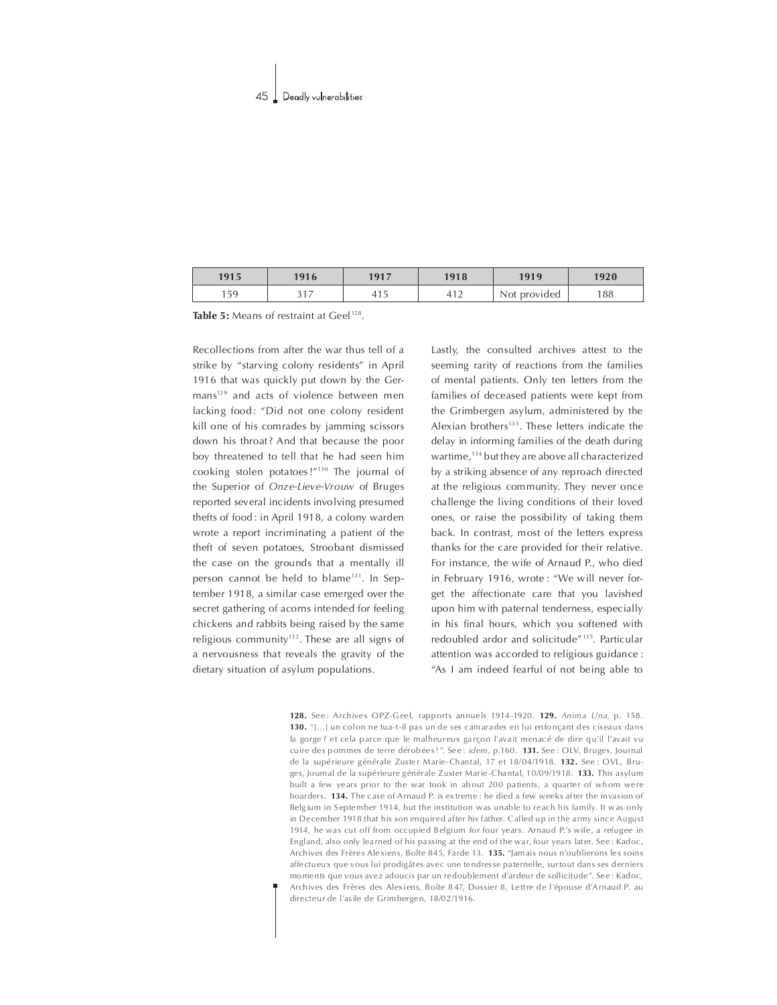| 1915         | 1916                   | 1917         | 1918         | 1919         | 1920 |
|--------------|------------------------|--------------|--------------|--------------|------|
| 150<br>l J J | $\sim$ $\sim$<br>، ، ب | 14 H<br>-415 | 412<br>⊤ ⊥ ∠ | Not provided | 188  |

Table 5: Means of restraint at Geel<sup>128</sup>.

Recollections from after the war thus tell of a strike by "starving colony residents" in April 1916 that was quickly put down by the Germans<sup>129</sup> and acts of violence between men lacking food: "Did not one colony resident kill one of his com rades by jamming scissors down his throat? And that because the poor boy threatened to tell that he had seen him cooking stolen potatoes!"<sup>130</sup> The journal of the Superior of Onze-Lieve-Vrouw of Bruges reported several incidents involving presumed thefts of food : in April 1918, a colony warden wrote a report incriminating a patient of the theft of seven potatoes, Stroobant dismissed the case on the grounds that a mentally ill person cannot be held to blame<sup>131</sup>. In September 1918, a similar case emerged over the secret gathering of acorns intended for feeling chickens and rabbits being raised by the same religious community<sup>132</sup>. These are all signs of a nervousness that reveals the gravity of the dietary situation of asylum populations.

Lastly, the consulted archives attest to the seeming rarity of reactions from the families of mental patients. Only ten letters from the families of deceased patients were kept from the Grimbergen asylum, administered by the Alexian brothers $133$ . These letters indicate the delay in informing families of the death during wartime,<sup>134</sup> but they are above all characterized by a striking absence of any reproach directed at the religious community. They never once challenge the living conditions of their loved ones, or raise the possibility of taking them back. In contrast, most of the letters express thanks for the care provided for their relative. For instance, the wife of Arnaud P., who died in February 1916, wrote : "We will never forget the affectionate care that you lavished upon him with paternal tenderness, especially in his final hours, which you softened with redoubled ardor and solicitude"<sup>135</sup>. Particular attention was accorded to religious guidance : "As I am indeed fearful of not being able to

128. See: Archives OPZ-Geel, rapports annuels 1914-1920. 129. Anima Una, p. 158. 130. "[...] un colon ne tua-t-il pas un de ses camara des en lui enfonçant des ciseaux dans la gorge ? et cela parce que le malheureux garçon l'avait menacé de dire qu'il l'avait vu cuire des pommes de terre dérobées!". See : idem, p.160. 131. See : OLV, Bruges, Journal de la supérieure générale Zuster Marie-Chantal, 17 et 18/04/1918, 132. See : OVL, Bruges, Journal de la supérieure générale Zuster Marie-Chantal, 10/09/1918. 133. This asylum built a few years prior to the war took in about 200 patients, a quarter of whom were boarders. 134. The case of Arnaud P. is extreme : he died a few weeks after the invasion of Belgium in September 1914, but the institution was unable to reach his family. It was only in December 1918 that his son enquired after his father. Called up in the army since August 1914, he was cut off from occupied Belgium for four years. Arnaud P.'s wife, a refugee in England, also only learned of his passing at the end of the war, four years later. See: Kadoc, Archives des Frères Alexiens, Boîte 845, Farde 13. 135. "Jam ais nous n'oublierons les soins affe ctu eux que vous lui prodigât es avec une tendres se paternelle, surtout dans ses derniers mo ments que vous avez adoucis par un redoublement d'ardeur de sollicitude". Se e : Kadoc. Archives des Frères des Alexiens, Boîte 8 47, Dossier 8, Lettre de l'épouse d'Arnaud P. au directeur de l'asile de Grimbergen, 18/02/1916.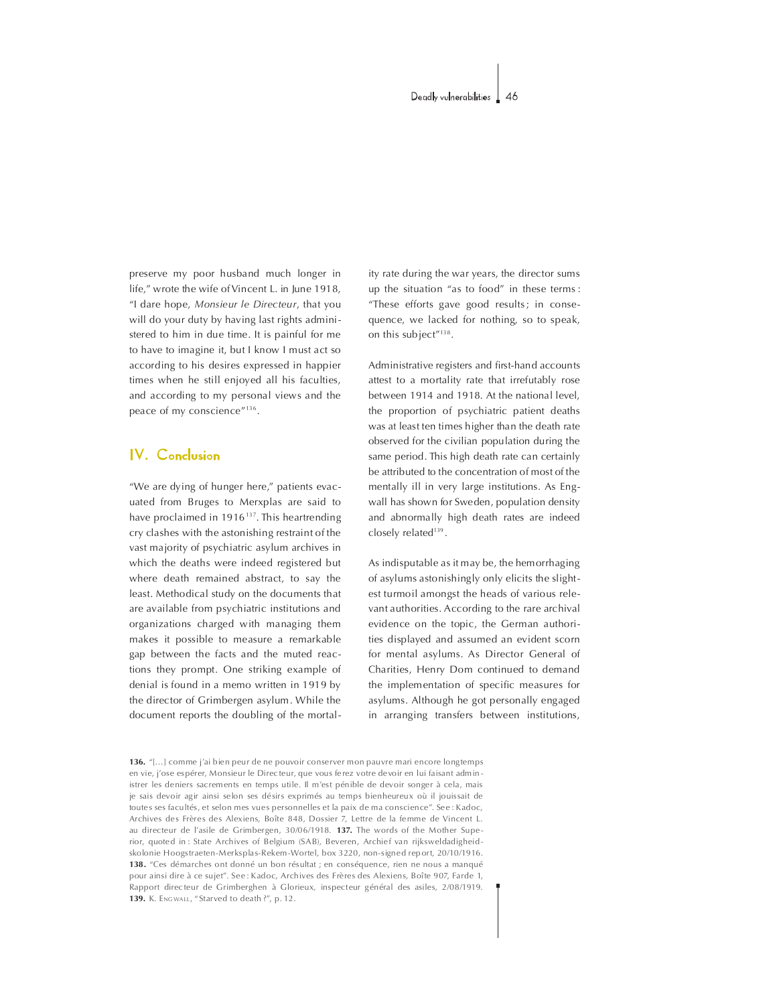preserve my poor husband much longer in life," wrote the wife of Vincent L. in June 1918, "I dare hope, Monsieur le Directeur, that you will do your duty by having last rights administered to him in due time. It is painful for me to have to imagine it, but I know I must act so according to his desires expressed in happier times when he still enjoyed all his faculties, and according to my personal views and the peace of my conscience"<sup>136</sup>.

# IV. Conclusion

"We are dying of hunger here," patients evacuated from Bruges to Merxplas are said to have proclaimed in 1916<sup>137</sup>. This heartrending cry clashes with the astonishing restraint of the vast majority of psychiatric asylum archives in which the deaths were indeed registered but where death remained abstract, to say the least. Methodical study on the documents that are available from psychiatric institutions and organizations charged with managing them makes it possible to measure a remarkable gap between the facts and the muted reactions they prompt. One striking example of denial is found in a memo written in 1919 by the director of Grimbergen asylum. While the document reports the doubling of the mortality rate during the war years, the director sums up the situation "as to food" in these terms: "These efforts gave good results; in consequence, we lacked for nothing, so to speak, on this subject"<sup>138</sup>.

Administrative registers and first-hand accounts attest to a mortality rate that irrefutably rose between 1914 and 1918. At the national level, the proportion of psychiatric patient deaths was at least ten times higher than the death rate observed for the civilian population during the same period. This high death rate can certainly be attributed to the concentration of most of the mentally ill in very large institutions. As Engwall has shown for Sweden, population density and abnormally high death rates are indeed closely related<sup>139</sup>.

As indisputable as it may be, the hemorrhaging of asylums astonishingly only elicits the slightest turmoil amongst the heads of various relevant authorities. According to the rare archival evidence on the topic, the German authorities displayed and assumed an evident scorn for mental asylums. As Director General of Charities, Henry Dom continued to demand the implementation of specific measures for asylums. Although he got personally engaged in arranging transfers between institutions,

136. "[...] comme i'ai bien peur de ne pouvoir conserver mon pauvre mari encore longtemps en vie, j'ose espérer, Monsieur le Directeur, que vous ferez votre devoir en lui faisant administrer les deniers sacrements en temps utile. Il m'est pénible de devoir songer à cela, mais je sais devoir agir ainsi selon ses désirs exprimés au temps bienheureux où il jouissait de toutes ses facultés, et selon mes vues personnelles et la paix de ma conscience". See : Kadoc, Archives des Frères des Alexiens, Boîte 848, Dossier 7, Lettre de la femme de Vincent L. au directeur de l'asile de Grimbergen, 30/06/1918. 137. The words of the Mother Superior, quoted in: State Archives of Belgium (SAB), Beveren, Archief van rijksweldadigheidskolonie Hoogstraeten-Merksplas-Rekem-Wortel, box 3220, non-signed report, 20/10/1916. 138. "Ces démarches ont donné un bon résultat ; en conséquence, rien ne nous a manqué pour ainsi dire à ce suiet". See : Kadoc. Archives des Frères des Alexiens. Boîte 907. Farde 1. Rapport directeur de Grimberghen à Glorieux, inspecteur général des asiles, 2/08/1919. 139. K. ENGWALL, "Starved to death ?", p. 12.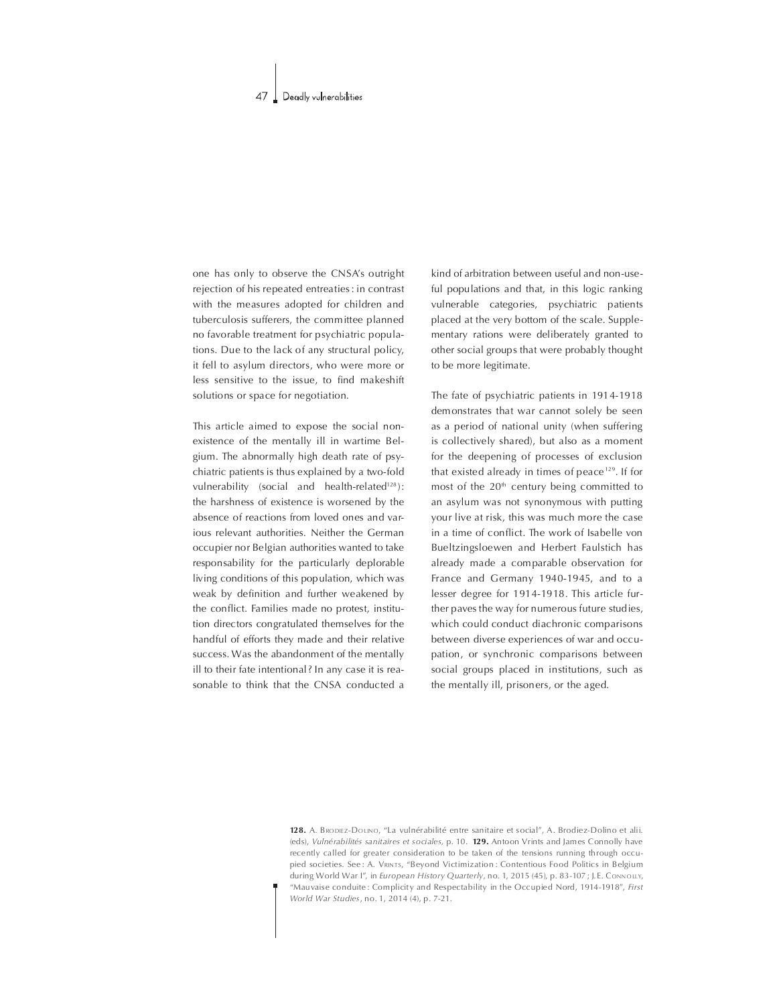one has only to observe the CNSA's outright rejection of his repeated entreaties: in contrast with the measures adopted for children and tuberculosis sufferers, the committee planned no favorable treatment for psychiatric populations. Due to the lack of any structural policy, it fell to asylum directors, who were more or less sensitive to the issue, to find makeshift solutions or space for negotiation.

This article aimed to expose the social nonexistence of the mentally ill in wartime Belgium. The abnormally high death rate of psychiatric patients is thus explained by a two-fold vulnerability (social and health-related<sup>128</sup>): the harshness of existence is worsened by the absence of reactions from loved ones and various relevant authorities. Neither the German occupier nor Belgian authorities wanted to take responsability for the particularly deplorable living conditions of this population, which was weak by definition and further weakened by the conflict. Families made no protest, institution directors congratulated themselves for the handful of efforts they made and their relative success. Was the abandonment of the mentally ill to their fate intentional? In any case it is reasonable to think that the CNSA conducted a

kind of arbitration between useful and non-useful populations and that, in this logic ranking vulnerable catego ries, psychiatric patients placed at the very bottom of the scale. Supplementary rations were deliberately granted to other social groups that were probably thought to be more legitimate.

The fate of psychiatric patients in 1914-1918 demonstrates that war cannot solely be seen as a period of national unity (when suffering is collectively shared), but also as a moment for the deepening of processes of exclusion that existed already in times of peace  $129$ . If for most of the  $20<sup>th</sup>$  century being committed to an asylum was not synonymous with putting your live at risk, this was much more the case in a time of conflict. The work of Isabelle von Bueltzingsloewen and Herbert Faulstich has already made a comparable observation for France and Germany 1940-1945, and to a lesser degree for 1914-1918. This article further paves the way for numerous future studies, which could conduct diachronic comparisons between diverse experiences of war and occupation, or synchronic comparisons between social groups placed in institutions, such as the mentally ill, prisoners, or the aged.

128. A. BRODIEZ-DOLINO, "La vulnérabilité entre sanitaire et social", A. Brodiez-Dolino et alii. (eds), Vulnérabilités sanitaires et sociales, p. 10. 129. Antoon Vrints and James Connolly have recently called for greater consideration to be taken of the tensions running through occupied societies. See: A. VRINTS, "Beyond Victimization : Contentious Food Politics in Belgium during World War I", in European History Quarterly, no. 1, 2015 (45), p. 83-107 ; J.E. CONNOLLY, "Mauvaise conduite: Complicity and Respectability in the Occupied Nord, 1914-1918", First World War Studies,no.1,2014(4),p.7-21.